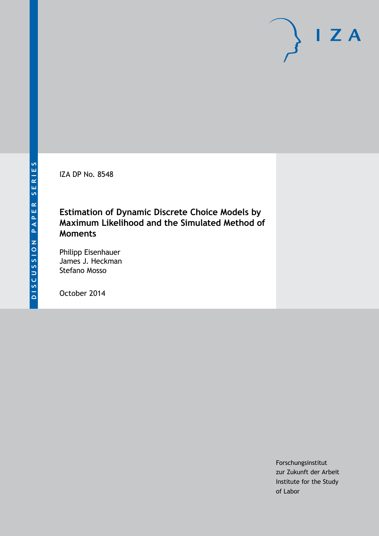IZA DP No. 8548

# **Estimation of Dynamic Discrete Choice Models by Maximum Likelihood and the Simulated Method of Moments**

Philipp Eisenhauer James J. Heckman Stefano Mosso

October 2014

Forschungsinstitut zur Zukunft der Arbeit Institute for the Study of Labor

 $I Z A$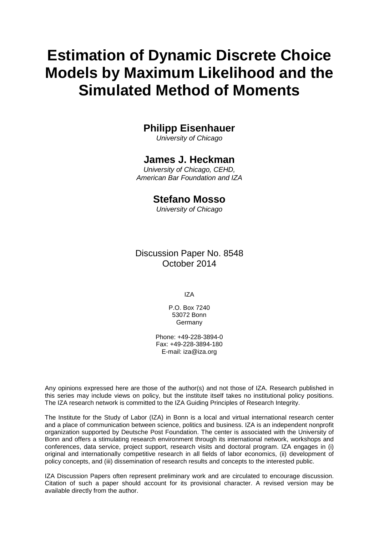# **Estimation of Dynamic Discrete Choice Models by Maximum Likelihood and the Simulated Method of Moments**

# **Philipp Eisenhauer**

*University of Chicago*

# **James J. Heckman**

*University of Chicago, CEHD, American Bar Foundation and IZA*

# **Stefano Mosso**

*University of Chicago*

Discussion Paper No. 8548 October 2014

IZA

P.O. Box 7240 53072 Bonn **Germany** 

Phone: +49-228-3894-0 Fax: +49-228-3894-180 E-mail: [iza@iza.org](mailto:iza@iza.org)

Any opinions expressed here are those of the author(s) and not those of IZA. Research published in this series may include views on policy, but the institute itself takes no institutional policy positions. The IZA research network is committed to the IZA Guiding Principles of Research Integrity.

<span id="page-1-0"></span>The Institute for the Study of Labor (IZA) in Bonn is a local and virtual international research center and a place of communication between science, politics and business. IZA is an independent nonprofit organization supported by Deutsche Post Foundation. The center is associated with the University of Bonn and offers a stimulating research environment through its international network, workshops and conferences, data service, project support, research visits and doctoral program. IZA engages in (i) original and internationally competitive research in all fields of labor economics, (ii) development of policy concepts, and (iii) dissemination of research results and concepts to the interested public.

IZA Discussion Papers often represent preliminary work and are circulated to encourage discussion. Citation of such a paper should account for its provisional character. A revised version may be available directly from the author.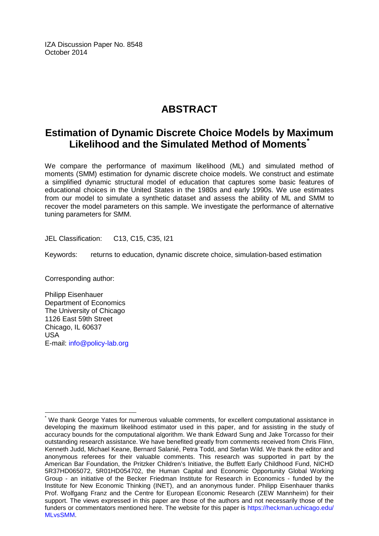IZA Discussion Paper No. 8548 October 2014

# **ABSTRACT**

# **Estimation of Dynamic Discrete Choice Models by Maximum Likelihood and the Simulated Method of Moments[\\*](#page-1-0)**

We compare the performance of maximum likelihood (ML) and simulated method of moments (SMM) estimation for dynamic discrete choice models. We construct and estimate a simplified dynamic structural model of education that captures some basic features of educational choices in the United States in the 1980s and early 1990s. We use estimates from our model to simulate a synthetic dataset and assess the ability of ML and SMM to recover the model parameters on this sample. We investigate the performance of alternative tuning parameters for SMM.

JEL Classification: C13, C15, C35, I21

Keywords: returns to education, dynamic discrete choice, simulation-based estimation

Corresponding author:

Philipp Eisenhauer Department of Economics The University of Chicago 1126 East 59th Street Chicago, IL 60637 USA E-mail: [info@policy-lab.org](mailto:info@policy-lab.org)

We thank George Yates for numerous valuable comments, for excellent computational assistance in developing the maximum likelihood estimator used in this paper, and for assisting in the study of accuracy bounds for the computational algorithm. We thank Edward Sung and Jake Torcasso for their outstanding research assistance. We have benefited greatly from comments received from Chris Flinn, Kenneth Judd, Michael Keane, Bernard Salanié, Petra Todd, and Stefan Wild. We thank the editor and anonymous referees for their valuable comments. This research was supported in part by the American Bar Foundation, the Pritzker Children's Initiative, the Buffett Early Childhood Fund, NICHD 5R37HD065072, 5R01HD054702, the Human Capital and Economic Opportunity Global Working Group - an initiative of the Becker Friedman Institute for Research in Economics - funded by the Institute for New Economic Thinking (INET), and an anonymous funder. Philipp Eisenhauer thanks Prof. Wolfgang Franz and the Centre for European Economic Research (ZEW Mannheim) for their support. The views expressed in this paper are those of the authors and not necessarily those of the funders or commentators mentioned here. The website for this paper is [https://heckman.uchicago.edu/](https://heckman.uchicago.edu/MLvsSMM)  [MLvsSMM.](https://heckman.uchicago.edu/MLvsSMM)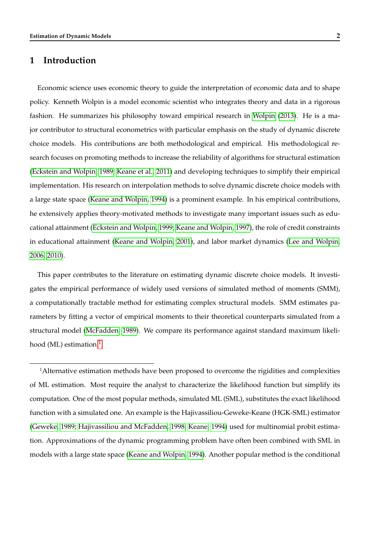### **1 Introduction**

Economic science uses economic theory to guide the interpretation of economic data and to shape policy. Kenneth Wolpin is a model economic scientist who integrates theory and data in a rigorous fashion. He summarizes his philosophy toward empirical research in [Wolpin](#page-48-0) [\(2013\)](#page-48-0). He is a major contributor to structural econometrics with particular emphasis on the study of dynamic discrete choice models. His contributions are both methodological and empirical. His methodological research focuses on promoting methods to increase the reliability of algorithms for structural estimation [\(Eckstein and Wolpin, 1989;](#page-44-0) [Keane et al., 2011\)](#page-46-0) and developing techniques to simplify their empirical implementation. His research on interpolation methods to solve dynamic discrete choice models with a large state space [\(Keane and Wolpin, 1994\)](#page-46-1) is a prominent example. In his empirical contributions, he extensively applies theory-motivated methods to investigate many important issues such as educational attainment [\(Eckstein and Wolpin, 1999;](#page-44-1) [Keane and Wolpin, 1997\)](#page-46-2), the role of credit constraints in educational attainment [\(Keane and Wolpin, 2001\)](#page-46-3), and labor market dynamics [\(Lee and Wolpin,](#page-47-0) [2006,](#page-47-0) [2010\)](#page-47-1).

This paper contributes to the literature on estimating dynamic discrete choice models. It investigates the empirical performance of widely used versions of simulated method of moments (SMM), a computationally tractable method for estimating complex structural models. SMM estimates parameters by fitting a vector of empirical moments to their theoretical counterparts simulated from a structural model [\(McFadden, 1989\)](#page-47-2). We compare its performance against standard maximum likeli-hood (ML) estimation.<sup>[1](#page--1-0)</sup>

<sup>1</sup>Alternative estimation methods have been proposed to overcome the rigidities and complexities of ML estimation. Most require the analyst to characterize the likelihood function but simplify its computation. One of the most popular methods, simulated ML (SML), substitutes the exact likelihood function with a simulated one. An example is the Hajivassiliou-Geweke-Keane (HGK-SML) estimator [\(Geweke, 1989;](#page-45-0) [Hajivassiliou and McFadden, 1998;](#page-45-1) [Keane, 1994\)](#page-46-4) used for multinomial probit estimation. Approximations of the dynamic programming problem have often been combined with SML in models with a large state space [\(Keane and Wolpin, 1994\)](#page-46-1). Another popular method is the conditional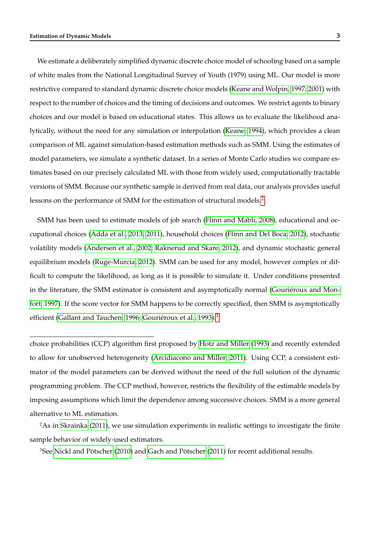We estimate a deliberately simplified dynamic discrete choice model of schooling based on a sample of white males from the National Longitudinal Survey of Youth (1979) using ML. Our model is more restrictive compared to standard dynamic discrete choice models [\(Keane and Wolpin, 1997,](#page-46-2) [2001\)](#page-46-3) with respect to the number of choices and the timing of decisions and outcomes. We restrict agents to binary choices and our model is based on educational states. This allows us to evaluate the likelihood analytically, without the need for any simulation or interpolation [\(Keane, 1994\)](#page-46-4), which provides a clean comparison of ML against simulation-based estimation methods such as SMM. Using the estimates of model parameters, we simulate a synthetic dataset. In a series of Monte Carlo studies we compare estimates based on our precisely calculated ML with those from widely used, computationally tractable versions of SMM. Because our synthetic sample is derived from real data, our analysis provides useful lessons on the performance of SMM for the estimation of structural models.<sup>[2](#page--1-0)</sup>

SMM has been used to estimate models of job search [\(Flinn and Mabli, 2008\)](#page-44-2), educational and occupational choices [\(Adda et al., 2013,](#page-43-0) [2011\)](#page-43-1), household choices [\(Flinn and Del Boca, 2012\)](#page-44-3), stochastic volatility models [\(Andersen et al., 2002;](#page-43-2) [Raknerud and Skare, 2012\)](#page-48-1), and dynamic stochastic general equilibrium models [\(Ruge-Murcia, 2012\)](#page-48-2). SMM can be used for any model, however complex or difficult to compute the likelihood, as long as it is possible to simulate it. Under conditions presented in the literature, the SMM estimator is consistent and asymptotically normal [\(Gouriéroux and Mon](#page-45-2)[fort, 1997\)](#page-45-2). If the score vector for SMM happens to be correctly specified, then SMM is asymptotically efficient [\(Gallant and Tauchen, 1996;](#page-44-4) [Gouriéroux et al., 1993\)](#page-45-3).<sup>[3](#page--1-0)</sup>

choice probabilities (CCP) algorithm first proposed by [Hotz and Miller](#page-46-5) [\(1993\)](#page-46-5) and recently extended to allow for unobserved heterogeneity [\(Arcidiacono and Miller, 2011\)](#page-43-3). Using CCP, a consistent estimator of the model parameters can be derived without the need of the full solution of the dynamic programming problem. The CCP method, however, restricts the flexibility of the estimable models by imposing assumptions which limit the dependence among successive choices. SMM is a more general alternative to ML estimation.

<sup>2</sup>As in [Skrainka](#page-48-3) [\(2011\)](#page-48-3), we use simulation experiments in realistic settings to investigate the finite sample behavior of widely-used estimators.

3See [Nickl and Pötscher](#page-47-3) [\(2010\)](#page-47-3) and [Gach and Pötscher](#page-44-5) [\(2011\)](#page-44-5) for recent additional results.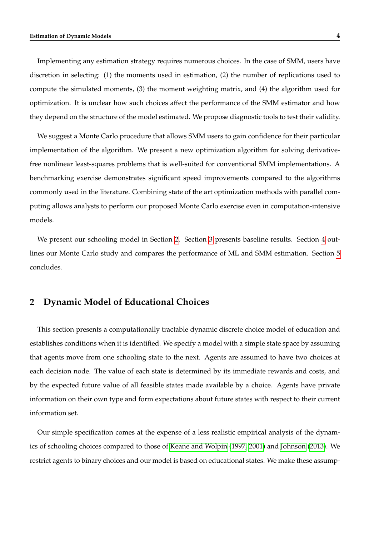Implementing any estimation strategy requires numerous choices. In the case of SMM, users have discretion in selecting: (1) the moments used in estimation, (2) the number of replications used to compute the simulated moments, (3) the moment weighting matrix, and (4) the algorithm used for optimization. It is unclear how such choices affect the performance of the SMM estimator and how they depend on the structure of the model estimated. We propose diagnostic tools to test their validity.

We suggest a Monte Carlo procedure that allows SMM users to gain confidence for their particular implementation of the algorithm. We present a new optimization algorithm for solving derivativefree nonlinear least-squares problems that is well-suited for conventional SMM implementations. A benchmarking exercise demonstrates significant speed improvements compared to the algorithms commonly used in the literature. Combining state of the art optimization methods with parallel computing allows analysts to perform our proposed Monte Carlo exercise even in computation-intensive models.

We present our schooling model in Section [2.](#page-5-0) Section [3](#page-12-0) presents baseline results. Section [4](#page-24-0) outlines our Monte Carlo study and compares the performance of ML and SMM estimation. Section [5](#page-41-0) concludes.

### <span id="page-5-0"></span>**2 Dynamic Model of Educational Choices**

This section presents a computationally tractable dynamic discrete choice model of education and establishes conditions when it is identified. We specify a model with a simple state space by assuming that agents move from one schooling state to the next. Agents are assumed to have two choices at each decision node. The value of each state is determined by its immediate rewards and costs, and by the expected future value of all feasible states made available by a choice. Agents have private information on their own type and form expectations about future states with respect to their current information set.

Our simple specification comes at the expense of a less realistic empirical analysis of the dynamics of schooling choices compared to those of [Keane and Wolpin](#page-46-2) [\(1997,](#page-46-2) [2001\)](#page-46-3) and [Johnson](#page-46-6) [\(2013\)](#page-46-6). We restrict agents to binary choices and our model is based on educational states. We make these assump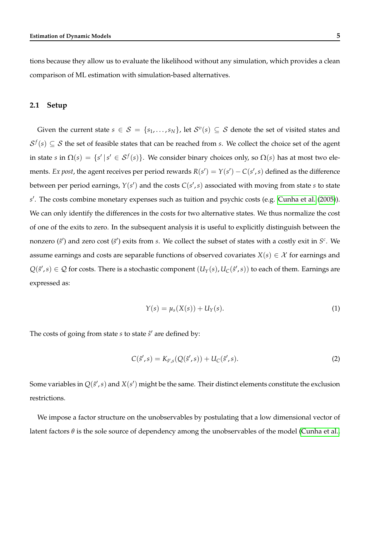tions because they allow us to evaluate the likelihood without any simulation, which provides a clean comparison of ML estimation with simulation-based alternatives.

#### **2.1 Setup**

Given the current state  $s \in S = \{s_1, \ldots, s_N\}$ , let  $S^v(s) \subseteq S$  denote the set of visited states and  $S^f(s) \subseteq S$  the set of feasible states that can be reached from *s*. We collect the choice set of the agent in state *s* in  $\Omega(s) = \{s' | s' \in S^f(s)\}$ . We consider binary choices only, so  $\Omega(s)$  has at most two elements. *Ex post,* the agent receives per period rewards  $R(s') = Y(s') - C(s', s)$  defined as the difference between per period earnings,  $Y(s')$  and the costs  $C(s',s)$  associated with moving from state  $s$  to state *s* 0 . The costs combine monetary expenses such as tuition and psychic costs (e.g. [Cunha et al.](#page-44-6) [\(2005\)](#page-44-6)). We can only identify the differences in the costs for two alternative states. We thus normalize the cost of one of the exits to zero. In the subsequent analysis it is useful to explicitly distinguish between the nonzero  $(\hat{s}')$  and zero cost  $(\tilde{s}')$  exits from *s*. We collect the subset of states with a costly exit in  $S^c$ . We assume earnings and costs are separable functions of observed covariates  $X(s) \in \mathcal{X}$  for earnings and  $Q(\hat{s}', s) \in \mathcal{Q}$  for costs. There is a stochastic component  $(U_Y(s), U_C(\hat{s}', s))$  to each of them. Earnings are expressed as:

<span id="page-6-0"></span>
$$
Y(s) = \mu_s(X(s)) + U_Y(s).
$$
 (1)

The costs of going from state *s* to state  $\hat{s}'$  are defined by:

$$
C(\hat{s}', s) = K_{\hat{s}', s}(Q(\hat{s}', s)) + U_C(\hat{s}', s).
$$
\n(2)

Some variables in  $Q(\hat{s}',s)$  and  $X(s')$  might be the same. Their distinct elements constitute the exclusion restrictions.

We impose a factor structure on the unobservables by postulating that a low dimensional vector of latent factors *θ* is the sole source of dependency among the unobservables of the model [\(Cunha et al.,](#page-44-6)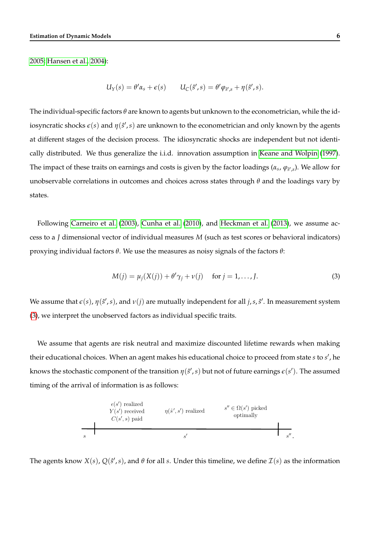[2005;](#page-44-6) [Hansen et al., 2004\)](#page-45-4):

$$
U_Y(s) = \theta' \alpha_s + \epsilon(s) \qquad U_C(\hat{s}', s) = \theta' \varphi_{\hat{s}',s} + \eta(\hat{s}', s).
$$

The individual-specific factors *θ* are known to agents but unknown to the econometrician, while the idiosyncratic shocks  $\epsilon(s)$  and  $\eta(\hat{s}',s)$  are unknown to the econometrician and only known by the agents at different stages of the decision process. The idiosyncratic shocks are independent but not identically distributed. We thus generalize the i.i.d. innovation assumption in [Keane and Wolpin](#page-46-2) [\(1997\)](#page-46-2). The impact of these traits on earnings and costs is given by the factor loadings ( $\alpha_s$ ,  $\varphi_{\beta',s}$ ). We allow for unobservable correlations in outcomes and choices across states through *θ* and the loadings vary by states.

Following [Carneiro et al.](#page-43-4) [\(2003\)](#page-43-4), [Cunha et al.](#page-44-7) [\(2010\)](#page-44-7), and [Heckman et al.](#page-45-5) [\(2013\)](#page-45-5), we assume access to a *J* dimensional vector of individual measures *M* (such as test scores or behavioral indicators) proxying individual factors *θ*. We use the measures as noisy signals of the factors *θ*:

<span id="page-7-0"></span>
$$
M(j) = \mu_j(X(j)) + \theta' \gamma_j + \nu(j) \quad \text{for } j = 1, \dots, J.
$$
 (3)

We assume that  $\varepsilon(s)$ ,  $\eta(\hat{s}',s)$ , and  $\nu(j)$  are mutually independent for all  $j,s,\hat{s}'$ . In measurement system [\(3\)](#page-7-0), we interpret the unobserved factors as individual specific traits.

We assume that agents are risk neutral and maximize discounted lifetime rewards when making their educational choices. When an agent makes his educational choice to proceed from state *s* to *s' ,* he knows the stochastic component of the transition  $\eta(\hat{s}',s)$  but not of future earnings  $\epsilon(s')$ . The assumed timing of the arrival of information is as follows:

| $\epsilon(s')$ realized | $\eta(s', s')$ realized | $s'' \in \Omega(s')$ picked<br>optimally |
|-------------------------|-------------------------|------------------------------------------|
| $S$                     | $s'$                    | $s''$                                    |

The agents know  $X(s)$ ,  $Q(s', s)$ , and  $\theta$  for all *s*. Under this timeline, we define  $\mathcal{I}(s)$  as the information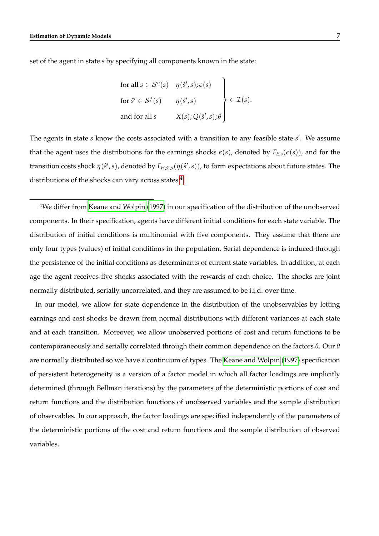set of the agent in state *s* by specifying all components known in the state:

for all 
$$
s \in S^v(s)
$$
  $\eta(\hat{s}', s), \epsilon(s)$   
\nfor  $\hat{s}' \in S^f(s)$   $\eta(\hat{s}', s)$   
\nand for all  $s$   $X(s), Q(\hat{s}', s), \theta$   $\epsilon \mathcal{I}(s)$ .

The agents in state *s* know the costs associated with a transition to any feasible state *s'*. We assume that the agent uses the distributions for the earnings shocks  $\varepsilon(s)$ , denoted by  $F_{E,s}(\varepsilon(s))$ , and for the transition costs shock  $η(ŝ', s)$ , denoted by  $F_{H, ŝ', s}(\eta(ŝ', s))$ , to form expectations about future states. The distributions of the shocks can vary across states. $4$ 

<sup>4</sup>We differ from [Keane and Wolpin](#page-46-2) [\(1997\)](#page-46-2) in our specification of the distribution of the unobserved components. In their specification, agents have different initial conditions for each state variable. The distribution of initial conditions is multinomial with five components. They assume that there are only four types (values) of initial conditions in the population. Serial dependence is induced through the persistence of the initial conditions as determinants of current state variables. In addition, at each age the agent receives five shocks associated with the rewards of each choice. The shocks are joint normally distributed, serially uncorrelated, and they are assumed to be i.i.d. over time.

In our model, we allow for state dependence in the distribution of the unobservables by letting earnings and cost shocks be drawn from normal distributions with different variances at each state and at each transition. Moreover, we allow unobserved portions of cost and return functions to be contemporaneously and serially correlated through their common dependence on the factors *θ*. Our *θ* are normally distributed so we have a continuum of types. The [Keane and Wolpin](#page-46-2) [\(1997\)](#page-46-2) specification of persistent heterogeneity is a version of a factor model in which all factor loadings are implicitly determined (through Bellman iterations) by the parameters of the deterministic portions of cost and return functions and the distribution functions of unobserved variables and the sample distribution of observables. In our approach, the factor loadings are specified independently of the parameters of the deterministic portions of the cost and return functions and the sample distribution of observed variables.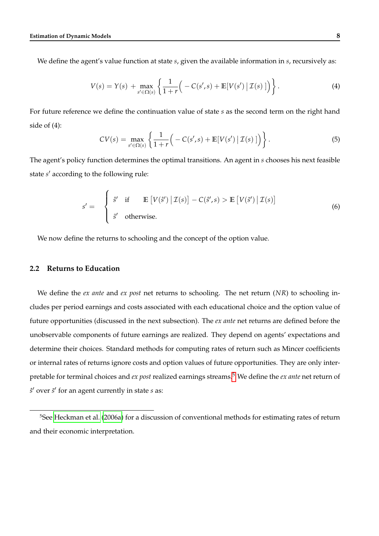We define the agent's value function at state *s*, given the available information in *s*, recursively as:

$$
V(s) = Y(s) + \max_{s' \in \Omega(s)} \left\{ \frac{1}{1+r} \Big( -C(s',s) + \mathbb{E}[V(s') | \mathcal{I}(s)] \Big) \right\}.
$$
 (4)

For future reference we define the continuation value of state *s* as the second term on the right hand side of (4):

<span id="page-9-0"></span>
$$
CV(s) = \max_{s' \in \Omega(s)} \left\{ \frac{1}{1+r} \Big( -C(s', s) + \mathbb{E}[V(s') | \mathcal{I}(s)] \Big) \right\}.
$$
 (5)

The agent's policy function determines the optimal transitions. An agent in *s* chooses his next feasible state *s'* according to the following rule:

$$
s' = \begin{cases} \hat{s}' & \text{if } \mathbb{E}\left[V(\hat{s}') \,|\, \mathcal{I}(s)\right] - C(\hat{s}', s) > \mathbb{E}\left[V(\tilde{s}') \,|\, \mathcal{I}(s)\right] \\ \tilde{s}' & \text{otherwise.} \end{cases} \tag{6}
$$

We now define the returns to schooling and the concept of the option value.

### <span id="page-9-1"></span>**2.2 Returns to Education**

We define the *ex ante* and *ex post* net returns to schooling. The net return (*NR*) to schooling includes per period earnings and costs associated with each educational choice and the option value of future opportunities (discussed in the next subsection). The *ex ante* net returns are defined before the unobservable components of future earnings are realized. They depend on agents' expectations and determine their choices. Standard methods for computing rates of return such as Mincer coefficients or internal rates of returns ignore costs and option values of future opportunities. They are only interpretable for terminal choices and *ex post* realized earnings streams.[5](#page--1-0) We define the *ex ante* net return of *s*ˆ 0 over *s*˜ 0 for an agent currently in state *s* as:

<sup>5</sup>See [Heckman et al.](#page-45-6) [\(2006a\)](#page-45-6) for a discussion of conventional methods for estimating rates of return and their economic interpretation.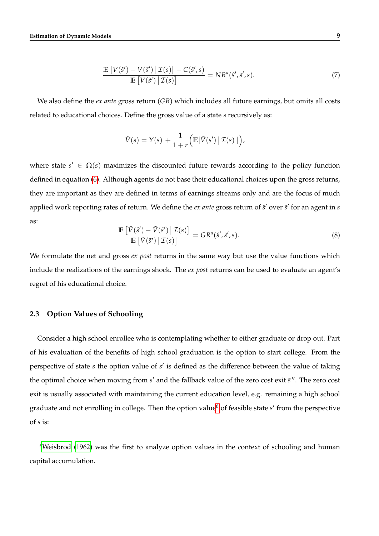$$
\frac{\mathbb{E}\left[V(\hat{s}') - V(\tilde{s}') \,|\, \mathcal{I}(s)\right] - C(\hat{s}',s)}{\mathbb{E}\left[V(\tilde{s}') \,|\, \mathcal{I}(s)\right]} = NR^a(\hat{s}',\tilde{s}',s). \tag{7}
$$

We also define the *ex ante* gross return (*GR*) which includes all future earnings, but omits all costs related to educational choices. Define the gross value of a state *s* recursively as:

$$
\tilde{V}(s) = Y(s) + \frac{1}{1+r} \Big( \mathbb{E} [\tilde{V}(s') | \mathcal{I}(s)] \Big),
$$

where state  $s' \in \Omega(s)$  maximizes the discounted future rewards according to the policy function defined in equation [\(6\)](#page-9-0). Although agents do not base their educational choices upon the gross returns, they are important as they are defined in terms of earnings streams only and are the focus of much applied work reporting rates of return. We define the *ex ante* gross return of  $\hat{s}'$  over  $\tilde{s}'$  for an agent in *s* as:

$$
\frac{\mathbb{E}\left[\tilde{V}(\hat{s}') - \tilde{V}(\tilde{s}') \,|\, \mathcal{I}(s)\right]}{\mathbb{E}\left[\tilde{V}(\tilde{s}') \,|\, \mathcal{I}(s)\right]} = GR^a(\hat{s}', \tilde{s}', s).
$$
\n(8)

We formulate the net and gross *ex post* returns in the same way but use the value functions which include the realizations of the earnings shock. The *ex post* returns can be used to evaluate an agent's regret of his educational choice.

### **2.3 Option Values of Schooling**

Consider a high school enrollee who is contemplating whether to either graduate or drop out. Part of his evaluation of the benefits of high school graduation is the option to start college. From the perspective of state *s* the option value of *s'* is defined as the difference between the value of taking the optimal choice when moving from s' and the fallback value of the zero cost exit  $\tilde{s}$ ". The zero cost exit is usually associated with maintaining the current education level, e.g. remaining a high school graduate and not enrolling in college. Then the option value<sup>[6](#page--1-0)</sup> of feasible state *s'* from the perspective of *s* is:

 $6W$ eisbrod [\(1962\)](#page-48-4) was the first to analyze option values in the context of schooling and human capital accumulation.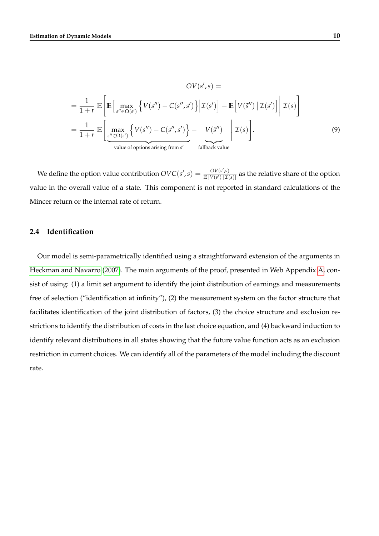<span id="page-11-0"></span>
$$
OV(s', s) =
$$
  
\n
$$
= \frac{1}{1+r} \mathbb{E} \bigg[ \mathbb{E} \bigg[ \max_{s'' \in \Omega(s')} \left\{ V(s'') - C(s'', s') \right\} \bigg| \mathcal{I}(s') \bigg] - \mathbb{E} \bigg[ V(\tilde{s}'') \bigg| \mathcal{I}(s') \bigg] \bigg| \mathcal{I}(s) \bigg]
$$
  
\n
$$
= \frac{1}{1+r} \mathbb{E} \bigg[ \max_{s'' \in \Omega(s')} \left\{ V(s'') - C(s'', s') \right\} - V(\tilde{s}'') \bigg| \mathcal{I}(s) \bigg].
$$
  
\n
$$
= \frac{1}{1+r} \mathbb{E} \bigg[ \max_{s'' \in \Omega(s')} \left\{ V(s'') - C(s'', s') \right\} - V(\tilde{s}'') \bigg| \mathcal{I}(s) \bigg].
$$
  
\n(9)

We define the option value contribution  $OVC(s', s) = \frac{OV(s', s')}{\mathbb{E}\left[V(s')\right]\left|\mathcal{T}\right|}$  $\frac{CV(s,s)}{\mathbb{E}[V(s')|\mathcal{I}(s)]}$  as the relative share of the option value in the overall value of a state. This component is not reported in standard calculations of the Mincer return or the internal rate of return.

#### **2.4 Identification**

Our model is semi-parametrically identified using a straightforward extension of the arguments in [Heckman and Navarro](#page-45-7) [\(2007\)](#page-45-7). The main arguments of the proof, presented in Web Appendix [A,](#page--1-0) consist of using: (1) a limit set argument to identify the joint distribution of earnings and measurements free of selection ("identification at infinity"), (2) the measurement system on the factor structure that facilitates identification of the joint distribution of factors, (3) the choice structure and exclusion restrictions to identify the distribution of costs in the last choice equation, and (4) backward induction to identify relevant distributions in all states showing that the future value function acts as an exclusion restriction in current choices. We can identify all of the parameters of the model including the discount rate.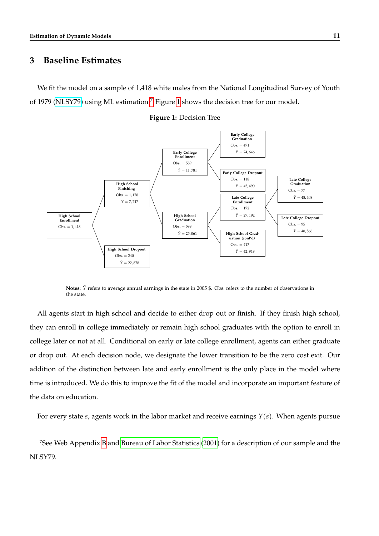## <span id="page-12-0"></span>**3 Baseline Estimates**

We fit the model on a sample of 1,418 white males from the National Longitudinal Survey of Youth of 1979 [\(NLSY79\)](http://www.bls.gov/nls/nlsy97.htm) using ML estimation.[7](#page--1-0) Figure [1](#page-12-1) shows the decision tree for our model.



<span id="page-12-1"></span>

**Notes:**  $\bar{Y}$  refers to average annual earnings in the state in 2005 \$. Obs. refers to the number of observations in the state.

All agents start in high school and decide to either drop out or finish. If they finish high school, they can enroll in college immediately or remain high school graduates with the option to enroll in college later or not at all. Conditional on early or late college enrollment, agents can either graduate or drop out. At each decision node, we designate the lower transition to be the zero cost exit. Our addition of the distinction between late and early enrollment is the only place in the model where time is introduced. We do this to improve the fit of the model and incorporate an important feature of the data on education.

For every state *s*, agents work in the labor market and receive earnings *Y*(*s*). When agents pursue

<sup>7</sup>See Web Appendix [B](#page--1-0) and [Bureau of Labor Statistics](#page-43-5) [\(2001\)](#page-43-5) for a description of our sample and the NLSY79.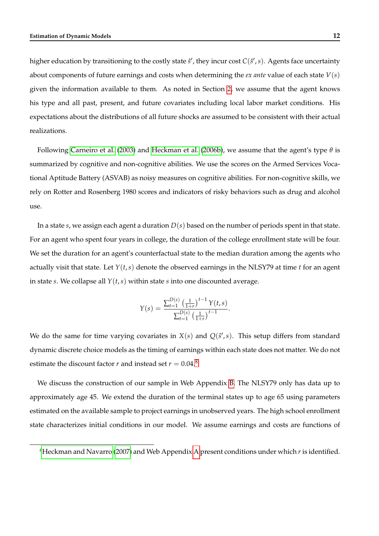higher education by transitioning to the costly state  $\hat{s}'$ , they incur cost  $C(\hat{s}',s)$ . Agents face uncertainty about components of future earnings and costs when determining the *ex ante* value of each state *V*(*s*) given the information available to them. As noted in Section [2,](#page-5-0) we assume that the agent knows his type and all past, present, and future covariates including local labor market conditions. His expectations about the distributions of all future shocks are assumed to be consistent with their actual realizations.

Following [Carneiro et al.](#page-43-4) [\(2003\)](#page-43-4) and [Heckman et al.](#page-46-7) [\(2006b\)](#page-46-7), we assume that the agent's type *θ* is summarized by cognitive and non-cognitive abilities. We use the scores on the Armed Services Vocational Aptitude Battery (ASVAB) as noisy measures on cognitive abilities. For non-cognitive skills, we rely on Rotter and Rosenberg 1980 scores and indicators of risky behaviors such as drug and alcohol use.

In a state *s*, we assign each agent a duration *D*(*s*) based on the number of periods spent in that state. For an agent who spent four years in college, the duration of the college enrollment state will be four. We set the duration for an agent's counterfactual state to the median duration among the agents who actually visit that state. Let *Y*(*t*,*s*) denote the observed earnings in the NLSY79 at time *t* for an agent in state *s*. We collapse all  $Y(t, s)$  within state *s* into one discounted average.

$$
Y(s) = \frac{\sum_{t=1}^{D(s)} \left(\frac{1}{1+r}\right)^{t-1} Y(t,s)}{\sum_{t=1}^{D(s)} \left(\frac{1}{1+r}\right)^{t-1}}.
$$

We do the same for time varying covariates in  $X(s)$  and  $Q(s', s)$ . This setup differs from standard dynamic discrete choice models as the timing of earnings within each state does not matter. We do not estimate the discount factor *r* and instead set  $r = 0.04$ .<sup>[8](#page--1-0)</sup>

We discuss the construction of our sample in Web Appendix [B.](#page--1-0) The NLSY79 only has data up to approximately age 45. We extend the duration of the terminal states up to age 65 using parameters estimated on the available sample to project earnings in unobserved years. The high school enrollment state characterizes initial conditions in our model. We assume earnings and costs are functions of

<sup>8</sup>[Heckman and Navarro](#page-45-7) [\(2007\)](#page-45-7) and Web Appendix [A](#page--1-0) present conditions under which *r* is identified.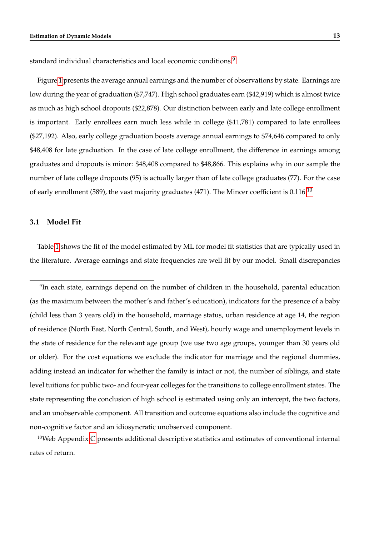standard individual characteristics and local economic conditions.<sup>[9](#page--1-0)</sup>

Figure [1](#page-12-1) presents the average annual earnings and the number of observations by state. Earnings are low during the year of graduation (\$7,747). High school graduates earn (\$42,919) which is almost twice as much as high school dropouts (\$22,878). Our distinction between early and late college enrollment is important. Early enrollees earn much less while in college (\$11,781) compared to late enrollees (\$27,192). Also, early college graduation boosts average annual earnings to \$74,646 compared to only \$48,408 for late graduation. In the case of late college enrollment, the difference in earnings among graduates and dropouts is minor: \$48,408 compared to \$48,866. This explains why in our sample the number of late college dropouts (95) is actually larger than of late college graduates (77). For the case of early enrollment (589), the vast majority graduates (471). The Mincer coefficient is  $0.116$ <sup>[10](#page--1-0)</sup>

#### **3.1 Model Fit**

Table [1](#page-15-0) shows the fit of the model estimated by ML for model fit statistics that are typically used in the literature. Average earnings and state frequencies are well fit by our model. Small discrepancies

 $9$ In each state, earnings depend on the number of children in the household, parental education (as the maximum between the mother's and father's education), indicators for the presence of a baby (child less than 3 years old) in the household, marriage status, urban residence at age 14, the region of residence (North East, North Central, South, and West), hourly wage and unemployment levels in the state of residence for the relevant age group (we use two age groups, younger than 30 years old or older). For the cost equations we exclude the indicator for marriage and the regional dummies, adding instead an indicator for whether the family is intact or not, the number of siblings, and state level tuitions for public two- and four-year colleges for the transitions to college enrollment states. The state representing the conclusion of high school is estimated using only an intercept, the two factors, and an unobservable component. All transition and outcome equations also include the cognitive and non-cognitive factor and an idiosyncratic unobserved component.

<sup>10</sup>Web Appendix [C](#page--1-0) presents additional descriptive statistics and estimates of conventional internal rates of return.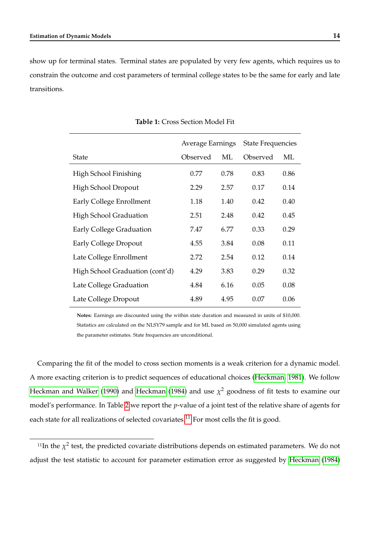<span id="page-15-0"></span>show up for terminal states. Terminal states are populated by very few agents, which requires us to constrain the outcome and cost parameters of terminal college states to be the same for early and late transitions.

|                                 | Average Earnings |      | <b>State Frequencies</b> |      |  |
|---------------------------------|------------------|------|--------------------------|------|--|
| <b>State</b>                    | Observed         | ML   | Observed                 | ML   |  |
| High School Finishing           | 0.77             | 0.78 | 0.83                     | 0.86 |  |
| High School Dropout             | 2.29             | 2.57 | 0.17                     | 0.14 |  |
| Early College Enrollment        | 1.18             | 1.40 | 0.42                     | 0.40 |  |
| <b>High School Graduation</b>   | 2.51             | 2.48 | 0.42                     | 0.45 |  |
| Early College Graduation        | 7.47             | 6.77 | 0.33                     | 0.29 |  |
| Early College Dropout           | 4.55             | 3.84 | 0.08                     | 0.11 |  |
| Late College Enrollment         | 2.72             | 2.54 | 0.12                     | 0.14 |  |
| High School Graduation (cont'd) | 4.29             | 3.83 | 0.29                     | 0.32 |  |
| Late College Graduation         | 4.84             | 6.16 | 0.05                     | 0.08 |  |
| Late College Dropout            | 4.89             | 4.95 | 0.07                     | 0.06 |  |

#### **Table 1:** Cross Section Model Fit

**Notes:** Earnings are discounted using the within state duration and measured in units of \$10,000. Statistics are calculated on the NLSY79 sample and for ML based on 50,000 simulated agents using the parameter estimates. State frequencies are unconditional.

Comparing the fit of the model to cross section moments is a weak criterion for a dynamic model. A more exacting criterion is to predict sequences of educational choices [\(Heckman, 1981\)](#page-45-8). We follow [Heckman and Walker](#page-46-8) [\(1990\)](#page-46-8) and [Heckman](#page-45-9) [\(1984\)](#page-45-9) and use  $\chi^2$  goodness of fit tests to examine our model's performance. In Table [2](#page-16-0) we report the *p*-value of a joint test of the relative share of agents for each state for all realizations of selected covariates.<sup>[11](#page--1-0)</sup> For most cells the fit is good.

<sup>&</sup>lt;sup>11</sup>In the  $\chi^2$  test, the predicted covariate distributions depends on estimated parameters. We do not adjust the test statistic to account for parameter estimation error as suggested by [Heckman](#page-45-9) [\(1984\)](#page-45-9)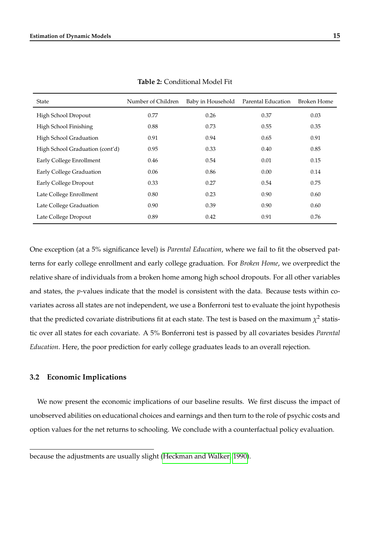<span id="page-16-0"></span>

| State                           | Number of Children | Baby in Household | Parental Education | <b>Broken Home</b> |
|---------------------------------|--------------------|-------------------|--------------------|--------------------|
| High School Dropout             | 0.77               | 0.26              | 0.37               | 0.03               |
| High School Finishing           | 0.88               | 0.73              | 0.55               | 0.35               |
| High School Graduation          | 0.91               | 0.94              | 0.65               | 0.91               |
| High School Graduation (cont'd) | 0.95               | 0.33              | 0.40               | 0.85               |
| Early College Enrollment        | 0.46               | 0.54              | 0.01               | 0.15               |
| Early College Graduation        | 0.06               | 0.86              | 0.00               | 0.14               |
| Early College Dropout           | 0.33               | 0.27              | 0.54               | 0.75               |
| Late College Enrollment         | 0.80               | 0.23              | 0.90               | 0.60               |
| Late College Graduation         | 0.90               | 0.39              | 0.90               | 0.60               |
| Late College Dropout            | 0.89               | 0.42              | 0.91               | 0.76               |

**Table 2:** Conditional Model Fit

One exception (at a 5% significance level) is *Parental Education*, where we fail to fit the observed patterns for early college enrollment and early college graduation. For *Broken Home*, we overpredict the relative share of individuals from a broken home among high school dropouts. For all other variables and states, the *p*-values indicate that the model is consistent with the data. Because tests within covariates across all states are not independent, we use a Bonferroni test to evaluate the joint hypothesis that the predicted covariate distributions fit at each state. The test is based on the maximum  $\chi^2$  statistic over all states for each covariate. A 5% Bonferroni test is passed by all covariates besides *Parental Education*. Here, the poor prediction for early college graduates leads to an overall rejection.

#### **3.2 Economic Implications**

We now present the economic implications of our baseline results. We first discuss the impact of unobserved abilities on educational choices and earnings and then turn to the role of psychic costs and option values for the net returns to schooling. We conclude with a counterfactual policy evaluation.

because the adjustments are usually slight [\(Heckman and Walker, 1990\)](#page-46-8).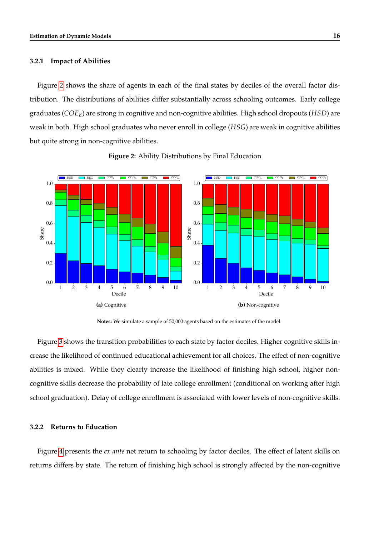#### **3.2.1 Impact of Abilities**

Figure [2](#page-17-0) shows the share of agents in each of the final states by deciles of the overall factor distribution. The distributions of abilities differ substantially across schooling outcomes. Early college graduates (*COEE*) are strong in cognitive and non-cognitive abilities. High school dropouts (*HSD*) are weak in both. High school graduates who never enroll in college (*HSG*) are weak in cognitive abilities but quite strong in non-cognitive abilities.

<span id="page-17-0"></span>

**Figure 2:** Ability Distributions by Final Education

**Notes:** We simulate a sample of 50,000 agents based on the estimates of the model.

Figure [3](#page-21-0) shows the transition probabilities to each state by factor deciles. Higher cognitive skills increase the likelihood of continued educational achievement for all choices. The effect of non-cognitive abilities is mixed. While they clearly increase the likelihood of finishing high school, higher noncognitive skills decrease the probability of late college enrollment (conditional on working after high school graduation). Delay of college enrollment is associated with lower levels of non-cognitive skills.

#### **3.2.2 Returns to Education**

Figure [4](#page-22-0) presents the *ex ante* net return to schooling by factor deciles. The effect of latent skills on returns differs by state. The return of finishing high school is strongly affected by the non-cognitive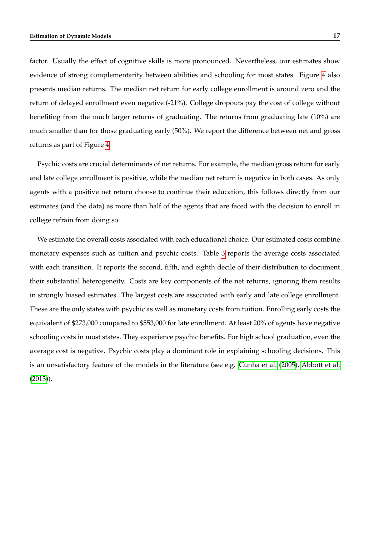factor. Usually the effect of cognitive skills is more pronounced. Nevertheless, our estimates show evidence of strong complementarity between abilities and schooling for most states. Figure [4](#page-22-0) also presents median returns. The median net return for early college enrollment is around zero and the return of delayed enrollment even negative (-21%). College dropouts pay the cost of college without benefiting from the much larger returns of graduating. The returns from graduating late (10%) are much smaller than for those graduating early (50%). We report the difference between net and gross returns as part of Figure [4.](#page-22-0)

Psychic costs are crucial determinants of net returns. For example, the median gross return for early and late college enrollment is positive, while the median net return is negative in both cases. As only agents with a positive net return choose to continue their education, this follows directly from our estimates (and the data) as more than half of the agents that are faced with the decision to enroll in college refrain from doing so.

We estimate the overall costs associated with each educational choice. Our estimated costs combine monetary expenses such as tuition and psychic costs. Table [3](#page-19-0) reports the average costs associated with each transition. It reports the second, fifth, and eighth decile of their distribution to document their substantial heterogeneity. Costs are key components of the net returns, ignoring them results in strongly biased estimates. The largest costs are associated with early and late college enrollment. These are the only states with psychic as well as monetary costs from tuition. Enrolling early costs the equivalent of \$273,000 compared to \$553,000 for late enrollment. At least 20% of agents have negative schooling costs in most states. They experience psychic benefits. For high school graduation, even the average cost is negative. Psychic costs play a dominant role in explaining schooling decisions. This is an unsatisfactory feature of the models in the literature (see e.g. [Cunha et al.](#page-44-6) [\(2005\)](#page-44-6), [Abbott et al.](#page-43-6) [\(2013\)](#page-43-6)).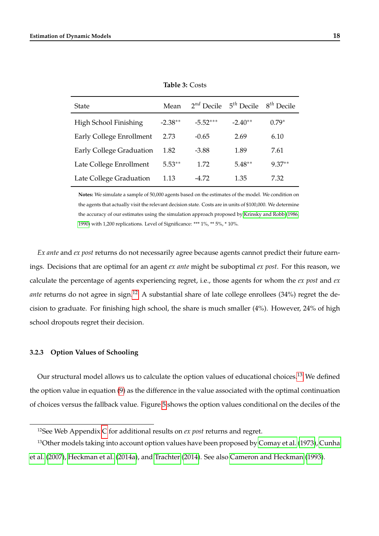<span id="page-19-0"></span>

| <b>State</b>             | Mean      | $2^{nd}$ Decile $5^{th}$ Decile |           | $8^{th}$ Decile |
|--------------------------|-----------|---------------------------------|-----------|-----------------|
| High School Finishing    | $-2.38**$ | $-5.52***$                      | $-2.40**$ | $0.79*$         |
| Early College Enrollment | 2.73      | $-0.65$                         | 2.69      | 6.10            |
| Early College Graduation | 1.82      | $-3.88$                         | 1.89      | 7.61            |
| Late College Enrollment  | $5.53**$  | 1.72                            | $5.48**$  | $9.37**$        |
| Late College Graduation  | 1.13      | -4.72                           | 1.35      | 7.32            |

**Table 3:** Costs

**Notes:** We simulate a sample of 50,000 agents based on the estimates of the model. We condition on the agents that actually visit the relevant decision state. Costs are in units of \$100,000. We determine the accuracy of our estimates using the simulation approach proposed by [Krinsky and Robb](#page-47-4) [\(1986,](#page-47-4) [1990\)](#page-47-5) with 1,200 replications. Level of Significance: \*\*\* 1%, \*\* 5%, \* 10%.

*Ex ante* and *ex post* returns do not necessarily agree because agents cannot predict their future earnings. Decisions that are optimal for an agent *ex ante* might be suboptimal *ex post*. For this reason, we calculate the percentage of agents experiencing regret, i.e., those agents for whom the *ex post* and *ex ante* returns do not agree in sign.<sup>[12](#page--1-0)</sup> A substantial share of late college enrollees (34%) regret the decision to graduate. For finishing high school, the share is much smaller (4%). However, 24% of high school dropouts regret their decision.

#### **3.2.3 Option Values of Schooling**

Our structural model allows us to calculate the option values of educational choices.<sup>[13](#page--1-0)</sup> We defined the option value in equation [\(9\)](#page-11-0) as the difference in the value associated with the optimal continuation of choices versus the fallback value. Figure [5](#page-23-0) shows the option values conditional on the deciles of the

<sup>12</sup>See Web Appendix [C](#page--1-0) for additional results on *ex post* returns and regret.

<sup>&</sup>lt;sup>13</sup>Other models taking into account option values have been proposed by [Comay et al.](#page-44-8) [\(1973\)](#page-44-8), [Cunha](#page-44-9) [et al.](#page-44-9) [\(2007\)](#page-44-9), [Heckman et al.](#page-45-10) [\(2014a\)](#page-45-10), and [Trachter](#page-48-5) [\(2014\)](#page-48-5). See also [Cameron and Heckman](#page-43-7) [\(1993\)](#page-43-7).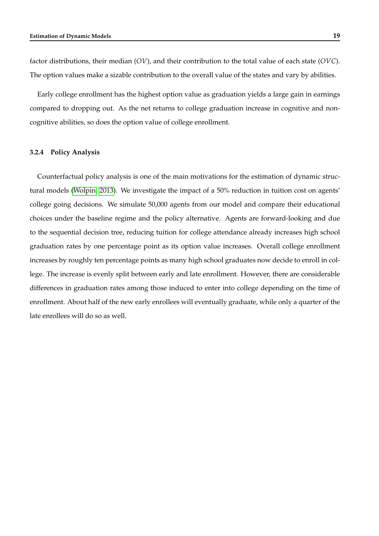factor distributions, their median (*OV*), and their contribution to the total value of each state (*OVC*). The option values make a sizable contribution to the overall value of the states and vary by abilities.

Early college enrollment has the highest option value as graduation yields a large gain in earnings compared to dropping out. As the net returns to college graduation increase in cognitive and noncognitive abilities, so does the option value of college enrollment.

#### **3.2.4 Policy Analysis**

Counterfactual policy analysis is one of the main motivations for the estimation of dynamic structural models [\(Wolpin, 2013\)](#page-48-0). We investigate the impact of a 50% reduction in tuition cost on agents' college going decisions. We simulate 50,000 agents from our model and compare their educational choices under the baseline regime and the policy alternative. Agents are forward-looking and due to the sequential decision tree, reducing tuition for college attendance already increases high school graduation rates by one percentage point as its option value increases. Overall college enrollment increases by roughly ten percentage points as many high school graduates now decide to enroll in college. The increase is evenly split between early and late enrollment. However, there are considerable differences in graduation rates among those induced to enter into college depending on the time of enrollment. About half of the new early enrollees will eventually graduate, while only a quarter of the late enrollees will do so as well.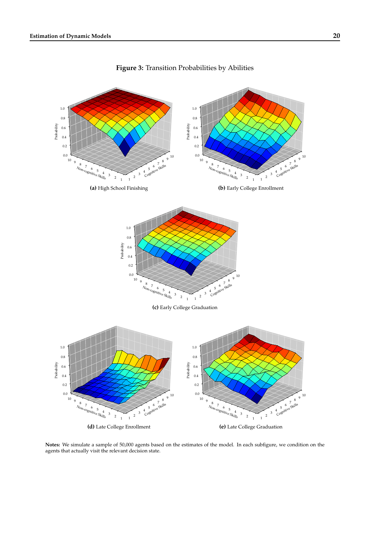<span id="page-21-0"></span>

**Figure 3:** Transition Probabilities by Abilities

**Notes:** We simulate a sample of 50,000 agents based on the estimates of the model. In each subfigure, we condition on the agents that actually visit the relevant decision state.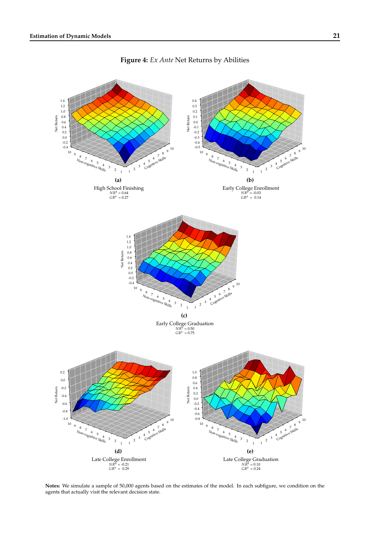<span id="page-22-0"></span>

**Figure 4:** *Ex Ante* Net Returns by Abilities

**Notes:** We simulate a sample of 50,000 agents based on the estimates of the model. In each subfigure, we condition on the agents that actually visit the relevant decision state.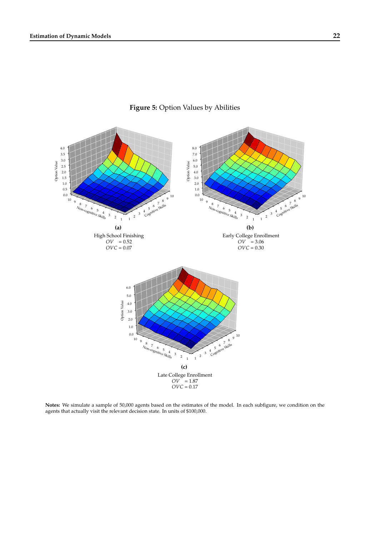<span id="page-23-0"></span>

**Figure 5:** Option Values by Abilities

**Notes:** We simulate a sample of 50,000 agents based on the estimates of the model. In each subfigure, we condition on the agents that actually visit the relevant decision state. In units of \$100,000.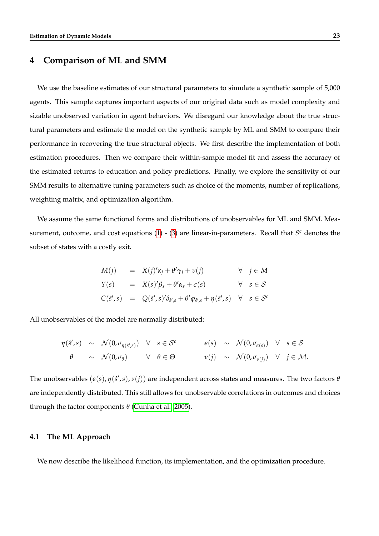### <span id="page-24-0"></span>**4 Comparison of ML and SMM**

We use the baseline estimates of our structural parameters to simulate a synthetic sample of 5,000 agents. This sample captures important aspects of our original data such as model complexity and sizable unobserved variation in agent behaviors. We disregard our knowledge about the true structural parameters and estimate the model on the synthetic sample by ML and SMM to compare their performance in recovering the true structural objects. We first describe the implementation of both estimation procedures. Then we compare their within-sample model fit and assess the accuracy of the estimated returns to education and policy predictions. Finally, we explore the sensitivity of our SMM results to alternative tuning parameters such as choice of the moments, number of replications, weighting matrix, and optimization algorithm.

We assume the same functional forms and distributions of unobservables for ML and SMM. Measurement, outcome, and cost equations  $(1)$  -  $(3)$  are linear-in-parameters. Recall that  $S<sup>c</sup>$  denotes the subset of states with a costly exit.

$$
M(j) = X(j)'\kappa_j + \theta' \gamma_j + \nu(j) \forall j \in M
$$
  
\n
$$
Y(s) = X(s)'\beta_s + \theta' \alpha_s + \epsilon(s) \forall s \in S
$$
  
\n
$$
C(\hat{s}', s) = Q(\hat{s}', s)' \delta_{\hat{s}', s} + \theta' \varphi_{\hat{s}', s} + \eta(\hat{s}', s) \forall s \in S^c
$$

All unobservables of the model are normally distributed:

$$
\begin{array}{ccccccccc}\n\eta(\hat{s}',s) & \sim & \mathcal{N}(0,\sigma_{\eta(\hat{s}',s)}) & \forall & s \in \mathcal{S}^c & \epsilon(s) & \sim & \mathcal{N}(0,\sigma_{\epsilon(s)}) & \forall & s \in \mathcal{S} \\
\theta & \sim & \mathcal{N}(0,\sigma_{\theta}) & \forall & \theta \in \Theta & \nu(j) & \sim & \mathcal{N}(0,\sigma_{\nu(j)}) & \forall & j \in \mathcal{M}.\n\end{array}
$$

The unobservables  $(\epsilon(s), \eta(\hat{s}', s), \nu(j))$  are independent across states and measures. The two factors  $\theta$ are independently distributed. This still allows for unobservable correlations in outcomes and choices through the factor components *θ* [\(Cunha et al., 2005\)](#page-44-6).

#### **4.1 The ML Approach**

We now describe the likelihood function, its implementation, and the optimization procedure.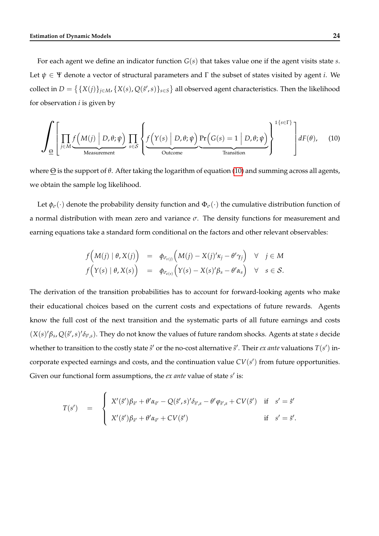For each agent we define an indicator function *G*(*s*) that takes value one if the agent visits state *s*. Let  $\psi \in \Psi$  denote a vector of structural parameters and  $\Gamma$  the subset of states visited by agent *i*. We collect in  $D = \{ \{X(j)\}_{j \in M}$ ,  $\{X(s), Q(s', s)\}_{s \in S} \}$  all observed agent characteristics. Then the likelihood for observation *i* is given by

$$
\int_{\underline{\Theta}} \left[ \prod_{j \in M} \underbrace{f\left(M(j) \mid D, \theta; \psi\right)}_{\text{Measurement}} \prod_{s \in \mathcal{S}} \left\{ \underbrace{f\left(Y(s) \mid D, \theta; \psi\right)}_{\text{Outcome}} \underbrace{\Pr\left(G(s) = 1 \mid D, \theta; \psi\right)}_{\text{Transition}} \right\}^{1\{s \in \Gamma\}} \right] dF(\theta), \quad (10)
$$

where Θ is the support of *θ*. After taking the logarithm of equation [\(10\)](#page-25-0) and summing across all agents, we obtain the sample log likelihood.

Let  $\phi_{\sigma}(\cdot)$  denote the probability density function and  $\Phi_{\sigma}(\cdot)$  the cumulative distribution function of a normal distribution with mean zero and variance *σ*. The density functions for measurement and earning equations take a standard form conditional on the factors and other relevant observables:

<span id="page-25-0"></span>
$$
f\Big(M(j) | \theta, X(j)\Big) = \phi_{\sigma_{\nu(j)}}\Big(M(j) - X(j)'\kappa_j - \theta'\gamma_j\Big) \quad \forall \quad j \in M
$$
  

$$
f\Big(Y(s) | \theta, X(s)\Big) = \phi_{\sigma_{\varepsilon(s)}}\Big(Y(s) - X(s)'\beta_s - \theta'\alpha_s\Big) \quad \forall \quad s \in \mathcal{S}.
$$

The derivation of the transition probabilities has to account for forward-looking agents who make their educational choices based on the current costs and expectations of future rewards. Agents know the full cost of the next transition and the systematic parts of all future earnings and costs  $(X(s)'\beta_s, Q(s',s)'\delta_{\hat{s}',s})$ . They do not know the values of future random shocks. Agents at state *s* decide whether to transition to the costly state  $\hat{s}'$  or the no-cost alternative  $\tilde{s}'$ . Their *ex ante* valuations  $T(s')$  incorporate expected earnings and costs, and the continuation value  $CV(s')$  from future opportunities. Given our functional form assumptions, the *ex ante* value of state *s'* is:

$$
T(s') = \begin{cases} X'(\hat{s}')\beta_{\hat{s}'} + \theta'\alpha_{\hat{s}'} - Q(\hat{s}',s)'\delta_{\hat{s}',s} - \theta'\varphi_{\hat{s}',s} + CV(\hat{s}') & \text{if } s' = \hat{s}' \\ X'(\hat{s}')\beta_{\hat{s}'} + \theta'\alpha_{\hat{s}'} + CV(\check{s}') & \text{if } s' = \tilde{s}'. \end{cases}
$$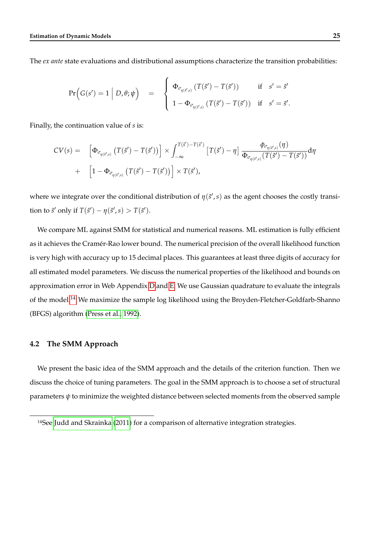The *ex ante* state evaluations and distributional assumptions characterize the transition probabilities:

$$
\Pr\Big(G(s')=1\ \Big|\ D,\theta;\psi\Big)\quad = \quad \left\{\begin{array}{ll}\Phi_{\sigma_{\eta(\hat{s}',s)}}\left(T(\hat{s}')-T(\tilde{s}')\right) & \text{if} \quad s'=\hat{s}'\\ 1-\Phi_{\sigma_{\eta(\hat{s}',s)}}\left(T(\hat{s}')-T(\tilde{s}')\right) & \text{if} \quad s'=\tilde{s}'\end{array}\right.
$$

Finally, the continuation value of *s* is:

$$
CV(s) = \left[ \Phi_{\sigma_{\eta(\hat{s}',s)}} \left( T(\hat{s}') - T(\tilde{s}') \right) \right] \times \int_{-\infty}^{T(\hat{s}') - T(\hat{s}')} \left[ T(\hat{s}') - \eta \right] \frac{\phi_{\sigma_{\eta(\hat{s}',s)}}(\eta)}{\Phi_{\sigma_{\eta(\hat{s}',s)}} \left( T(\hat{s}') - T(\tilde{s}') \right)} d\eta
$$
  
+ 
$$
\left[ 1 - \Phi_{\sigma_{\eta(\hat{s}',s)}} \left( T(\hat{s}') - T(\tilde{s}') \right) \right] \times T(\tilde{s}'),
$$

where we integrate over the conditional distribution of  $\eta(\hat{s}',s)$  as the agent chooses the costly transition to  $\hat{s}'$  only if  $T(\hat{s}') - \eta(\hat{s}', s) > T(\tilde{s}')$ .

We compare ML against SMM for statistical and numerical reasons. ML estimation is fully efficient as it achieves the Cramér-Rao lower bound. The numerical precision of the overall likelihood function is very high with accuracy up to 15 decimal places. This guarantees at least three digits of accuracy for all estimated model parameters. We discuss the numerical properties of the likelihood and bounds on approximation error in Web Appendix [D](#page--1-0) and [E.](#page--1-0) We use Gaussian quadrature to evaluate the integrals of the model.<sup>[14](#page--1-0)</sup> We maximize the sample log likelihood using the Broyden-Fletcher-Goldfarb-Shanno (BFGS) algorithm [\(Press et al., 1992\)](#page-48-6).

#### **4.2 The SMM Approach**

We present the basic idea of the SMM approach and the details of the criterion function. Then we discuss the choice of tuning parameters. The goal in the SMM approach is to choose a set of structural parameters *ψ* to minimize the weighted distance between selected moments from the observed sample

.

<sup>&</sup>lt;sup>14</sup>See [Judd and Skrainka](#page-46-9)  $(2011)$  for a comparison of alternative integration strategies.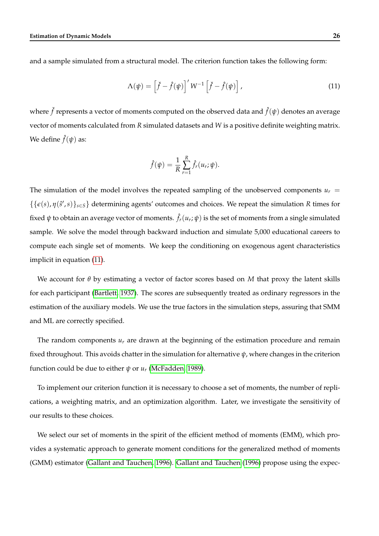and a sample simulated from a structural model. The criterion function takes the following form:

$$
\Lambda(\psi) = \left[\check{f} - \hat{f}(\psi)\right]' W^{-1} \left[\check{f} - \hat{f}(\psi)\right], \tag{11}
$$

where  $\check{f}$  represents a vector of moments computed on the observed data and  $\hat{f}(\psi)$  denotes an average vector of moments calculated from *R* simulated datasets and *W* is a positive definite weighting matrix. We define  $\hat{f}(\psi)$  as:

<span id="page-27-0"></span>
$$
\hat{f}(\psi) = \frac{1}{R} \sum_{r=1}^{R} \hat{f}_r(u_r; \psi).
$$

The simulation of the model involves the repeated sampling of the unobserved components  $u_r =$  $\{\{\epsilon(s), \eta(\hat{s}', s)\}_{s \in S}\}$  determining agents' outcomes and choices. We repeat the simulation *R* times for fixed  $\psi$  to obtain an average vector of moments.  $\hat{f}_r(u_r;\psi)$  is the set of moments from a single simulated sample. We solve the model through backward induction and simulate 5,000 educational careers to compute each single set of moments. We keep the conditioning on exogenous agent characteristics implicit in equation [\(11\)](#page-27-0).

We account for *θ* by estimating a vector of factor scores based on *M* that proxy the latent skills for each participant [\(Bartlett, 1937\)](#page-43-8). The scores are subsequently treated as ordinary regressors in the estimation of the auxiliary models. We use the true factors in the simulation steps, assuring that SMM and ML are correctly specified.

The random components  $u_r$  are drawn at the beginning of the estimation procedure and remain fixed throughout. This avoids chatter in the simulation for alternative *ψ*, where changes in the criterion function could be due to either  $\psi$  or  $u_r$  [\(McFadden, 1989\)](#page-47-2).

To implement our criterion function it is necessary to choose a set of moments, the number of replications, a weighting matrix, and an optimization algorithm. Later, we investigate the sensitivity of our results to these choices.

We select our set of moments in the spirit of the efficient method of moments (EMM), which provides a systematic approach to generate moment conditions for the generalized method of moments (GMM) estimator [\(Gallant and Tauchen, 1996\)](#page-44-4). [Gallant and Tauchen](#page-44-4) [\(1996\)](#page-44-4) propose using the expec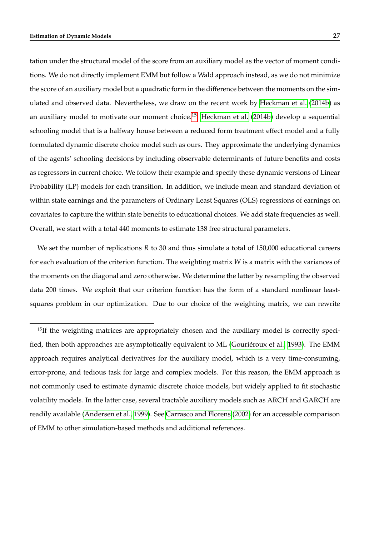tation under the structural model of the score from an auxiliary model as the vector of moment conditions. We do not directly implement EMM but follow a Wald approach instead, as we do not minimize the score of an auxiliary model but a quadratic form in the difference between the moments on the simulated and observed data. Nevertheless, we draw on the recent work by [Heckman et al.](#page-45-11) [\(2014b\)](#page-45-11) as an auxiliary model to motivate our moment choice.<sup>[15](#page--1-0)</sup> [Heckman et al.](#page-45-11) [\(2014b\)](#page-45-11) develop a sequential schooling model that is a halfway house between a reduced form treatment effect model and a fully formulated dynamic discrete choice model such as ours. They approximate the underlying dynamics of the agents' schooling decisions by including observable determinants of future benefits and costs as regressors in current choice. We follow their example and specify these dynamic versions of Linear Probability (LP) models for each transition. In addition, we include mean and standard deviation of within state earnings and the parameters of Ordinary Least Squares (OLS) regressions of earnings on covariates to capture the within state benefits to educational choices. We add state frequencies as well. Overall, we start with a total 440 moments to estimate 138 free structural parameters.

We set the number of replications *R* to 30 and thus simulate a total of 150,000 educational careers for each evaluation of the criterion function. The weighting matrix *W* is a matrix with the variances of the moments on the diagonal and zero otherwise. We determine the latter by resampling the observed data 200 times. We exploit that our criterion function has the form of a standard nonlinear leastsquares problem in our optimization. Due to our choice of the weighting matrix, we can rewrite

<sup>&</sup>lt;sup>15</sup>If the weighting matrices are appropriately chosen and the auxiliary model is correctly specified, then both approaches are asymptotically equivalent to ML [\(Gouriéroux et al., 1993\)](#page-45-3). The EMM approach requires analytical derivatives for the auxiliary model, which is a very time-consuming, error-prone, and tedious task for large and complex models. For this reason, the EMM approach is not commonly used to estimate dynamic discrete choice models, but widely applied to fit stochastic volatility models. In the latter case, several tractable auxiliary models such as ARCH and GARCH are readily available [\(Andersen et al., 1999\)](#page-43-9). See [Carrasco and Florens](#page-43-10) [\(2002\)](#page-43-10) for an accessible comparison of EMM to other simulation-based methods and additional references.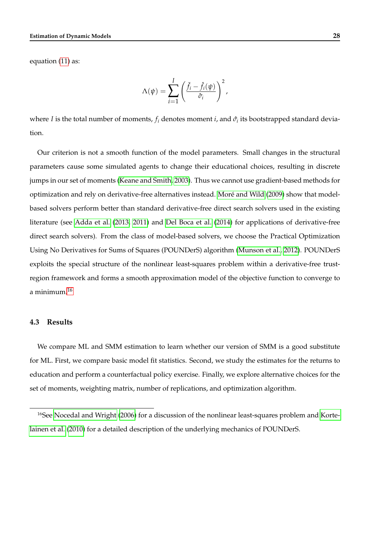equation [\(11\)](#page-27-0) as:

$$
\Lambda(\psi) = \sum_{i=1}^{I} \left( \frac{\check{f}_i - \hat{f}_i(\psi)}{\hat{\sigma}_i} \right)^2,
$$

where *I* is the total number of moments,  $f_i$  denotes moment *i*, and  $\hat{\sigma_i}$  its bootstrapped standard deviation.

Our criterion is not a smooth function of the model parameters. Small changes in the structural parameters cause some simulated agents to change their educational choices, resulting in discrete jumps in our set of moments [\(Keane and Smith, 2003\)](#page-46-10). Thus we cannot use gradient-based methods for optimization and rely on derivative-free alternatives instead. [Moré and Wild](#page-47-6) [\(2009\)](#page-47-6) show that modelbased solvers perform better than standard derivative-free direct search solvers used in the existing literature (see [Adda et al.](#page-43-0) [\(2013,](#page-43-0) [2011\)](#page-43-1) and [Del Boca et al.](#page-44-10) [\(2014\)](#page-44-10) for applications of derivative-free direct search solvers). From the class of model-based solvers, we choose the Practical Optimization Using No Derivatives for Sums of Squares (POUNDerS) algorithm [\(Munson et al., 2012\)](#page-47-7). POUNDerS exploits the special structure of the nonlinear least-squares problem within a derivative-free trustregion framework and forms a smooth approximation model of the objective function to converge to a minimum.[16](#page--1-0)

#### **4.3 Results**

We compare ML and SMM estimation to learn whether our version of SMM is a good substitute for ML. First, we compare basic model fit statistics. Second, we study the estimates for the returns to education and perform a counterfactual policy exercise. Finally, we explore alternative choices for the set of moments, weighting matrix, number of replications, and optimization algorithm.

<sup>16</sup>See [Nocedal and Wright](#page-48-7) [\(2006\)](#page-48-7) for a discussion of the nonlinear least-squares problem and [Korte](#page-47-8)[lainen et al.](#page-47-8) [\(2010\)](#page-47-8) for a detailed description of the underlying mechanics of POUNDerS.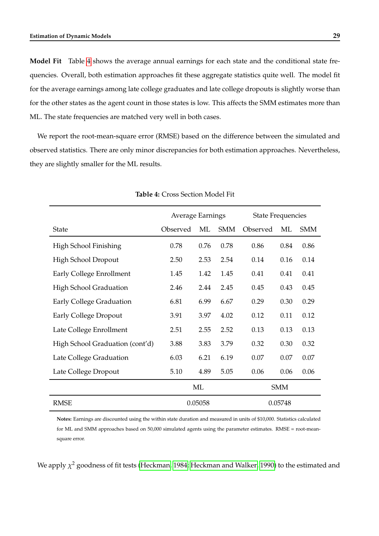**Model Fit** Table [4](#page-30-0) shows the average annual earnings for each state and the conditional state frequencies. Overall, both estimation approaches fit these aggregate statistics quite well. The model fit for the average earnings among late college graduates and late college dropouts is slightly worse than for the other states as the agent count in those states is low. This affects the SMM estimates more than ML. The state frequencies are matched very well in both cases.

<span id="page-30-0"></span>We report the root-mean-square error (RMSE) based on the difference between the simulated and observed statistics. There are only minor discrepancies for both estimation approaches. Nevertheless, they are slightly smaller for the ML results.

|                                 | Average Earnings |      |            | <b>State Frequencies</b> |            |            |
|---------------------------------|------------------|------|------------|--------------------------|------------|------------|
| State                           | Observed         | ML   | <b>SMM</b> | Observed                 | ML         | <b>SMM</b> |
| High School Finishing           | 0.78             | 0.76 | 0.78       | 0.86                     | 0.84       | 0.86       |
| High School Dropout             | 2.50             | 2.53 | 2.54       | 0.14                     | 0.16       | 0.14       |
| Early College Enrollment        | 1.45             | 1.42 | 1.45       | 0.41                     | 0.41       | 0.41       |
| <b>High School Graduation</b>   | 2.46             | 2.44 | 2.45       | 0.45                     | 0.43       | 0.45       |
| <b>Early College Graduation</b> | 6.81             | 6.99 | 6.67       | 0.29                     | 0.30       | 0.29       |
| <b>Early College Dropout</b>    | 3.91             | 3.97 | 4.02       | 0.12                     | 0.11       | 0.12       |
| Late College Enrollment         | 2.51             | 2.55 | 2.52       | 0.13                     | 0.13       | 0.13       |
| High School Graduation (cont'd) | 3.88             | 3.83 | 3.79       | 0.32                     | 0.30       | 0.32       |
| Late College Graduation         | 6.03             | 6.21 | 6.19       | 0.07                     | 0.07       | 0.07       |
| Late College Dropout            | 5.10             | 4.89 | 5.05       | 0.06                     | 0.06       | 0.06       |
|                                 | ML               |      |            |                          | <b>SMM</b> |            |
| <b>RMSE</b>                     | 0.05058          |      |            |                          | 0.05748    |            |

#### **Table 4:** Cross Section Model Fit

**Notes:** Earnings are discounted using the within state duration and measured in units of \$10,000. Statistics calculated for ML and SMM approaches based on 50,000 simulated agents using the parameter estimates. RMSE = root-meansquare error.

We apply *χ* <sup>2</sup> goodness of fit tests [\(Heckman, 1984;](#page-45-9) [Heckman and Walker, 1990\)](#page-46-8) to the estimated and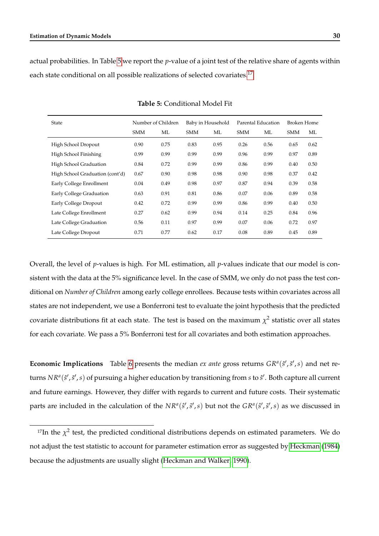<span id="page-31-0"></span>actual probabilities. In Table [5](#page-31-0) we report the *p*-value of a joint test of the relative share of agents within each state conditional on all possible realizations of selected covariates.<sup>[17](#page--1-0)</sup>

| State                           |            | Number of Children<br>Baby in Household |            | Parental Education |            | <b>Broken Home</b> |            |      |
|---------------------------------|------------|-----------------------------------------|------------|--------------------|------------|--------------------|------------|------|
|                                 | <b>SMM</b> | ML                                      | <b>SMM</b> | МL                 | <b>SMM</b> | ML                 | <b>SMM</b> | МL   |
| High School Dropout             | 0.90       | 0.75                                    | 0.83       | 0.95               | 0.26       | 0.56               | 0.65       | 0.62 |
| High School Finishing           | 0.99       | 0.99                                    | 0.99       | 0.99               | 0.96       | 0.99               | 0.97       | 0.89 |
| High School Graduation          | 0.84       | 0.72                                    | 0.99       | 0.99               | 0.86       | 0.99               | 0.40       | 0.50 |
| High School Graduation (cont'd) | 0.67       | 0.90                                    | 0.98       | 0.98               | 0.90       | 0.98               | 0.37       | 0.42 |
| Early College Enrollment        | 0.04       | 0.49                                    | 0.98       | 0.97               | 0.87       | 0.94               | 0.39       | 0.58 |
| Early College Graduation        | 0.63       | 0.91                                    | 0.81       | 0.86               | 0.07       | 0.06               | 0.89       | 0.58 |
| Early College Dropout           | 0.42       | 0.72                                    | 0.99       | 0.99               | 0.86       | 0.99               | 0.40       | 0.50 |
| Late College Enrollment         | 0.27       | 0.62                                    | 0.99       | 0.94               | 0.14       | 0.25               | 0.84       | 0.96 |
| Late College Graduation         | 0.56       | 0.11                                    | 0.97       | 0.99               | 0.07       | 0.06               | 0.72       | 0.97 |
| Late College Dropout            | 0.71       | 0.77                                    | 0.62       | 0.17               | 0.08       | 0.89               | 0.45       | 0.89 |

**Table 5:** Conditional Model Fit

Overall, the level of *p*-values is high. For ML estimation, all *p*-values indicate that our model is consistent with the data at the 5% significance level. In the case of SMM, we only do not pass the test conditional on *Number of Children* among early college enrollees. Because tests within covariates across all states are not independent, we use a Bonferroni test to evaluate the joint hypothesis that the predicted covariate distributions fit at each state. The test is based on the maximum  $\chi^2$  statistic over all states for each covariate. We pass a 5% Bonferroni test for all covariates and both estimation approaches.

**Economic Implications** Table [6](#page-32-0) presents the median *ex ante* gross returns  $GR^a(\hat{s}', \hat{s}', s)$  and net returns  $NR^a(\hat{s}', \tilde{s}', s)$  of pursuing a higher education by transitioning from *s* to  $\hat{s}'$ . Both capture all current and future earnings. However, they differ with regards to current and future costs. Their systematic parts are included in the calculation of the  $NR^a(\hat{s}', \tilde{s}', s)$  but not the  $GR^a(\hat{s}', \tilde{s}', s)$  as we discussed in

<sup>&</sup>lt;sup>17</sup>In the  $\chi^2$  test, the predicted conditional distributions depends on estimated parameters. We do not adjust the test statistic to account for parameter estimation error as suggested by [Heckman](#page-45-9) [\(1984\)](#page-45-9) because the adjustments are usually slight [\(Heckman and Walker, 1990\)](#page-46-8).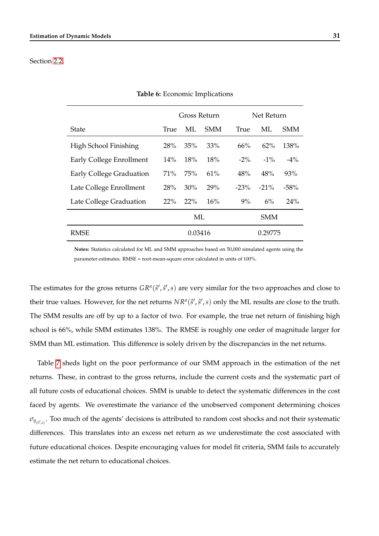#### <span id="page-32-0"></span>Section [2.2.](#page-9-1)

|                          | Gross Return       |     |            | Net Return |         |            |
|--------------------------|--------------------|-----|------------|------------|---------|------------|
| State                    | True               | ML  | <b>SMM</b> | True       | МL      | <b>SMM</b> |
| High School Finishing    | 28%                | 35% | 33%        | 66%        | $62\%$  | 138%       |
| Early College Enrollment | 14%                | 18% | 18%        | $-2\%$     | $-1\%$  | $-4\%$     |
| Early College Graduation | 71%                | 75% | 61%        | 48%        | 48%     | 93%        |
| Late College Enrollment  | 28%                | 30% | 29%        | $-23%$     | $-21\%$ | $-58%$     |
| Late College Graduation  | 22%                | 22% | 16%        | 9%         | 6%      | 24%        |
|                          | <b>SMM</b><br>ML   |     |            |            |         |            |
| <b>RMSE</b>              | 0.03416<br>0.29775 |     |            |            |         |            |

#### **Table 6:** Economic Implications

**Notes:** Statistics calculated for ML and SMM approaches based on 50,000 simulated agents using the parameter estimates. RMSE = root-mean-square error calculated in units of 100%.

The estimates for the gross returns  $GR^a(\hat{s}', \tilde{s}', s)$  are very similar for the two approaches and close to their true values. However, for the net returns  $NR^a(\hat{s}', \tilde{s}', s)$  only the ML results are close to the truth. The SMM results are off by up to a factor of two. For example, the true net return of finishing high school is 66%, while SMM estimates 138%. The RMSE is roughly one order of magnitude larger for SMM than ML estimation. This difference is solely driven by the discrepancies in the net returns.

Table [7](#page-33-0) sheds light on the poor performance of our SMM approach in the estimation of the net returns. These, in contrast to the gross returns, include the current costs and the systematic part of all future costs of educational choices. SMM is unable to detect the systematic differences in the cost faced by agents. We overestimate the variance of the unobserved component determining choices  $\sigma_{\eta_{(\hat{s}',s)}}$ . Too much of the agents' decisions is attributed to random cost shocks and not their systematic differences. This translates into an excess net return as we underestimate the cost associated with future educational choices. Despite encouraging values for model fit criteria, SMM fails to accurately estimate the net return to educational choices.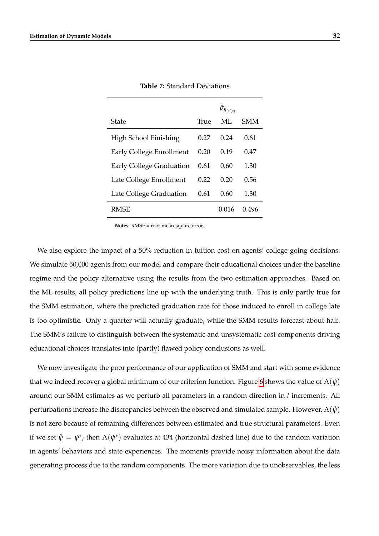<span id="page-33-0"></span>

|                          |      | $\hat{\sigma}_{\eta_{(\hat{s}',s)}}$ |            |
|--------------------------|------|--------------------------------------|------------|
| State                    | True | ML.                                  | <b>SMM</b> |
| High School Finishing    | 0.27 | 0.24                                 | 0.61       |
| Early College Enrollment | 0.20 | 0.19                                 | 0.47       |
| Early College Graduation | 0.61 | 0.60                                 | 1.30       |
| Late College Enrollment  | 0.22 | 0.20                                 | 0.56       |
| Late College Graduation  | 0.61 | (0.60)                               | 1.30       |
| <b>RMSE</b>              |      | 0.016                                | 0.496      |

**Table 7:** Standard Deviations

**Notes:** RMSE = root-mean-square error.

We also explore the impact of a 50% reduction in tuition cost on agents' college going decisions. We simulate 50,000 agents from our model and compare their educational choices under the baseline regime and the policy alternative using the results from the two estimation approaches. Based on the ML results, all policy predictions line up with the underlying truth. This is only partly true for the SMM estimation, where the predicted graduation rate for those induced to enroll in college late is too optimistic. Only a quarter will actually graduate, while the SMM results forecast about half. The SMM's failure to distinguish between the systematic and unsystematic cost components driving educational choices translates into (partly) flawed policy conclusions as well.

We now investigate the poor performance of our application of SMM and start with some evidence that we indeed recover a global minimum of our criterion function. Figure [6](#page-34-0) shows the value of  $\Lambda(\psi)$ around our SMM estimates as we perturb all parameters in a random direction in *t* increments. All perturbations increase the discrepancies between the observed and simulated sample. However,  $Λ(ψ)$ is not zero because of remaining differences between estimated and true structural parameters. Even if we set  $\hat{\psi} = \psi^*$ , then  $\Lambda(\psi^*)$  evaluates at 434 (horizontal dashed line) due to the random variation in agents' behaviors and state experiences. The moments provide noisy information about the data generating process due to the random components. The more variation due to unobservables, the less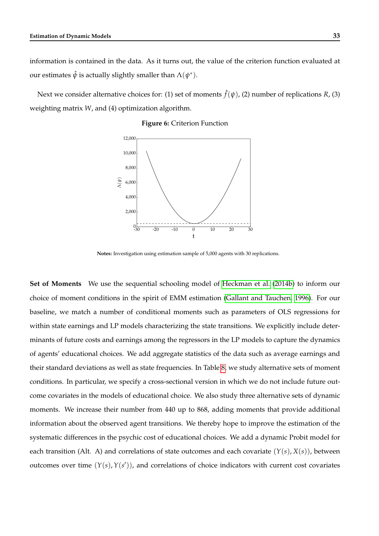information is contained in the data. As it turns out, the value of the criterion function evaluated at our estimates  $\hat{\psi}$  is actually slightly smaller than  $\Lambda(\psi^*).$ 

<span id="page-34-0"></span>Next we consider alternative choices for: (1) set of moments ˆ *f*(*ψ*), (2) number of replications *R*, (3) weighting matrix *W*, and (4) optimization algorithm.

#### **Figure 6:** Criterion Function



**Notes:** Investigation using estimation sample of 5,000 agents with 30 replications.

**Set of Moments** We use the sequential schooling model of [Heckman et al.](#page-45-11) [\(2014b\)](#page-45-11) to inform our choice of moment conditions in the spirit of EMM estimation [\(Gallant and Tauchen, 1996\)](#page-44-4). For our baseline, we match a number of conditional moments such as parameters of OLS regressions for within state earnings and LP models characterizing the state transitions. We explicitly include determinants of future costs and earnings among the regressors in the LP models to capture the dynamics of agents' educational choices. We add aggregate statistics of the data such as average earnings and their standard deviations as well as state frequencies. In Table [8,](#page-35-0) we study alternative sets of moment conditions. In particular, we specify a cross-sectional version in which we do not include future outcome covariates in the models of educational choice. We also study three alternative sets of dynamic moments. We increase their number from 440 up to 868, adding moments that provide additional information about the observed agent transitions. We thereby hope to improve the estimation of the systematic differences in the psychic cost of educational choices. We add a dynamic Probit model for each transition (Alt. A) and correlations of state outcomes and each covariate  $(Y(s), X(s))$ , between outcomes over time  $(Y(s), Y(s'))$ , and correlations of choice indicators with current cost covariates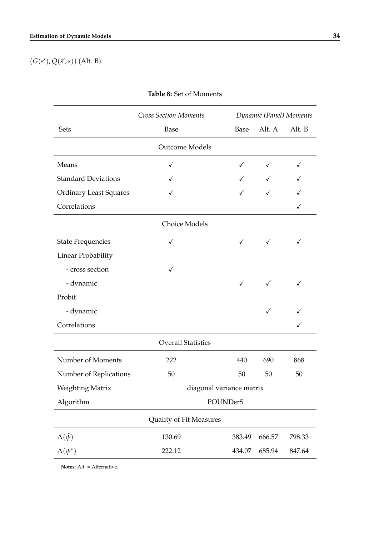<span id="page-35-0"></span> $(G(s'), Q(\hat{s}', s))$  (Alt. B).

|                               | <b>Cross Section Moments</b> | Dynamic (Panel) Moments |              |              |  |  |  |  |  |
|-------------------------------|------------------------------|-------------------------|--------------|--------------|--|--|--|--|--|
| Sets                          | Base                         | Base                    | Alt. A       | Alt. B       |  |  |  |  |  |
| <b>Outcome Models</b>         |                              |                         |              |              |  |  |  |  |  |
| Means                         | $\checkmark$                 | $\checkmark$            | $\checkmark$ | $\checkmark$ |  |  |  |  |  |
| <b>Standard Deviations</b>    | ✓                            | $\checkmark$            |              | ✓            |  |  |  |  |  |
| <b>Ordinary Least Squares</b> |                              |                         | ✓            |              |  |  |  |  |  |
| Correlations                  |                              |                         |              | $\checkmark$ |  |  |  |  |  |
| Choice Models                 |                              |                         |              |              |  |  |  |  |  |
| <b>State Frequencies</b>      | ✓                            | $\checkmark$            | $\checkmark$ | $\checkmark$ |  |  |  |  |  |
| Linear Probability            |                              |                         |              |              |  |  |  |  |  |
| - cross section               | ✓                            |                         |              |              |  |  |  |  |  |
| - dynamic                     |                              | $\checkmark$            | ✓            | ✓            |  |  |  |  |  |
| Probit                        |                              |                         |              |              |  |  |  |  |  |
| - dynamic                     |                              |                         | ✓            |              |  |  |  |  |  |
| Correlations                  |                              |                         |              | $\checkmark$ |  |  |  |  |  |
|                               | <b>Overall Statistics</b>    |                         |              |              |  |  |  |  |  |
| Number of Moments             | 222                          | 440                     | 690          | 868          |  |  |  |  |  |
| Number of Replications        | 50                           | 50                      | 50           | 50           |  |  |  |  |  |
| Weighting Matrix              | diagonal variance matrix     |                         |              |              |  |  |  |  |  |
| Algorithm                     | <b>POUNDerS</b>              |                         |              |              |  |  |  |  |  |
|                               | Quality of Fit Measures      |                         |              |              |  |  |  |  |  |
| $\Lambda(\hat{\psi})$         | 130.69                       | 383.49                  | 666.57       | 798.33       |  |  |  |  |  |
| $\Lambda(\psi^*)$             | 222.12                       | 434.07                  | 685.94       | 847.64       |  |  |  |  |  |

| Table 8: Set of Moments |
|-------------------------|
|-------------------------|

**Notes:** Alt. = Alternative.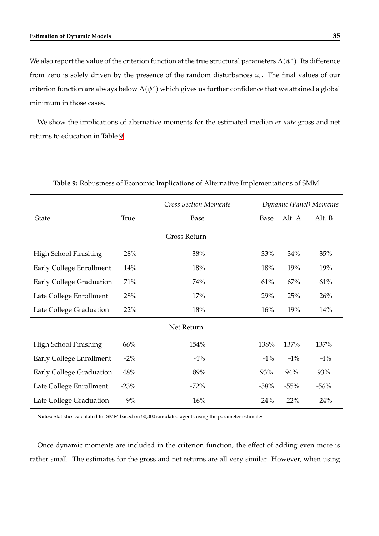We also report the value of the criterion function at the true structural parameters  $\Lambda(\psi^*)$ . Its difference from zero is solely driven by the presence of the random disturbances *u<sup>r</sup>* . The final values of our criterion function are always below  $\Lambda(\psi^*)$  which gives us further confidence that we attained a global minimum in those cases.

<span id="page-36-0"></span>We show the implications of alternative moments for the estimated median *ex ante* gross and net returns to education in Table [9.](#page-36-0)

|                                 |             | <b>Cross Section Moments</b> |        | Dynamic (Panel) Moments |        |
|---------------------------------|-------------|------------------------------|--------|-------------------------|--------|
| <b>State</b>                    | <b>True</b> | Base                         | Base   | Alt. A                  | Alt. B |
|                                 |             | Gross Return                 |        |                         |        |
| High School Finishing           | 28%         | 38%                          | 33%    | 34%                     | 35%    |
| Early College Enrollment        | 14%         | 18%                          | 18%    | 19%                     | 19%    |
| <b>Early College Graduation</b> | 71%         | 74%                          | 61%    | 67%                     | 61%    |
| Late College Enrollment         | 28%         | 17%                          | 29%    | 25%                     | 26%    |
| Late College Graduation         | 22%         | 18%                          | 16%    | 19%                     | 14%    |
|                                 |             | Net Return                   |        |                         |        |
| High School Finishing           | 66%         | 154%                         | 138%   | 137%                    | 137%   |
| Early College Enrollment        | $-2\%$      | $-4\%$                       | $-4\%$ | $-4\%$                  | $-4\%$ |
| Early College Graduation        | 48%         | 89%                          | 93%    | 94%                     | 93%    |
| Late College Enrollment         | $-23%$      | $-72%$                       | $-58%$ | $-55%$                  | $-56%$ |
| Late College Graduation         | 9%          | 16%                          | 24%    | 22%                     | 24%    |

**Table 9:** Robustness of Economic Implications of Alternative Implementations of SMM

**Notes:** Statistics calculated for SMM based on 50,000 simulated agents using the parameter estimates.

Once dynamic moments are included in the criterion function, the effect of adding even more is rather small. The estimates for the gross and net returns are all very similar. However, when using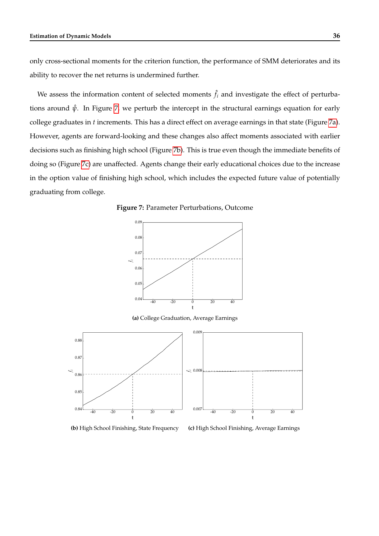only cross-sectional moments for the criterion function, the performance of SMM deteriorates and its ability to recover the net returns is undermined further.

We assess the information content of selected moments  $\hat{f}_i$  and investigate the effect of perturbations around  $\hat{\psi}$ . In Figure [7,](#page-37-0) we perturb the intercept in the structural earnings equation for early college graduates in *t* increments. This has a direct effect on average earnings in that state (Figure [7a\)](#page-37-1). However, agents are forward-looking and these changes also affect moments associated with earlier decisions such as finishing high school (Figure [7b\)](#page-37-2). This is true even though the immediate benefits of doing so (Figure [7c\)](#page-37-3) are unaffected. Agents change their early educational choices due to the increase in the option value of finishing high school, which includes the expected future value of potentially graduating from college.

<span id="page-37-1"></span><span id="page-37-0"></span>**Figure 7:** Parameter Perturbations, Outcome



**(a)** College Graduation, Average Earnings

<span id="page-37-2"></span>



<span id="page-37-3"></span>**(c)** High School Finishing, Average Earnings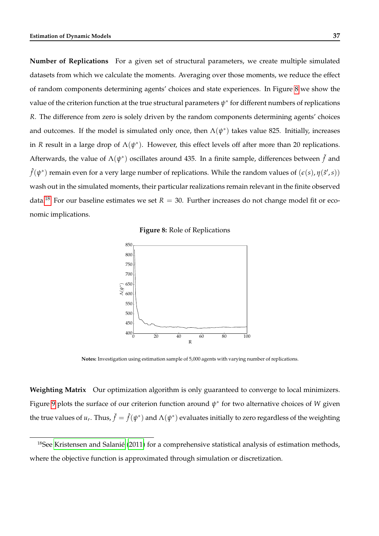**Number of Replications** For a given set of structural parameters, we create multiple simulated datasets from which we calculate the moments. Averaging over those moments, we reduce the effect of random components determining agents' choices and state experiences. In Figure [8](#page-38-0) we show the value of the criterion function at the true structural parameters  $\psi^*$  for different numbers of replications *R*. The difference from zero is solely driven by the random components determining agents' choices and outcomes. If the model is simulated only once, then  $\Lambda(\psi^*)$  takes value 825. Initially, increases in *R* result in a large drop of  $\Lambda(\psi^*)$ . However, this effect levels off after more than 20 replications. Afterwards, the value of  $\Lambda(\psi^*)$  oscillates around 435. In a finite sample, differences between  $\check{f}$  and  $\hat{f}(\psi^*)$  remain even for a very large number of replications. While the random values of  $(\epsilon(s), \eta(\hat{s}', s))$ wash out in the simulated moments, their particular realizations remain relevant in the finite observed data.<sup>[18](#page--1-0)</sup> For our baseline estimates we set  $R = 30$ . Further increases do not change model fit or economic implications.

**Figure 8:** Role of Replications

<span id="page-38-0"></span>

**Notes:** Investigation using estimation sample of 5,000 agents with varying number of replications.

**Weighting Matrix** Our optimization algorithm is only guaranteed to converge to local minimizers. Figure [9](#page-39-0) plots the surface of our criterion function around *ψ* ∗ for two alternative choices of *W* given the true values of  $u_r$ . Thus,  $\check{f}=\hat{f}(\psi^*)$  and  $\Lambda(\psi^*)$  evaluates initially to zero regardless of the weighting

<sup>18</sup>See [Kristensen and Salanié](#page-47-9) [\(2011\)](#page-47-9) for a comprehensive statistical analysis of estimation methods, where the objective function is approximated through simulation or discretization.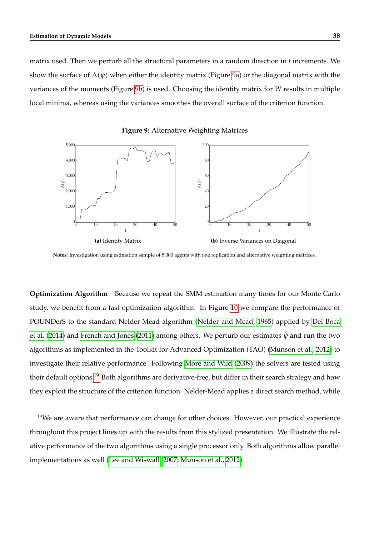matrix used. Then we perturb all the structural parameters in a random direction in *t* increments. We show the surface of  $\Lambda(\psi)$  when either the identity matrix (Figure [9a\)](#page-39-1) or the diagonal matrix with the variances of the moments (Figure [9b\)](#page-39-2) is used. Choosing the identity matrix for *W* results in multiple local minima, whereas using the variances smoothes the overall surface of the criterion function.

<span id="page-39-1"></span><span id="page-39-0"></span>0 10 20 30 40 50 t  $\mathbf{0}$ 1,000 2,000 3,00 4,000 5,000 Λ(*ψ*) **(a)** Identity Matrix 0 10 20 30 40 50 t  $0\frac{1}{2}$  $\mathfrak{a}$ 40 60 80  $100$ Λ(*ψ*) **(b)** Inverse Variances on Diagonal

<span id="page-39-2"></span>**Figure 9:** Alternative Weighting Matrices

**Notes:** Investigation using estimation sample of 5,000 agents with one replication and alternative weighting matrices.

**Optimization Algorithm** Because we repeat the SMM estimation many times for our Monte Carlo study, we benefit from a fast optimization algorithm. In Figure [10](#page-40-0) we compare the performance of POUNDerS to the standard Nelder-Mead algorithm [\(Nelder and Mead, 1965\)](#page-47-10) applied by [Del Boca](#page-44-10) [et al.](#page-44-10) [\(2014\)](#page-44-10) and [French and Jones](#page-44-11) [\(2011\)](#page-44-11) among others. We perturb our estimates  $\hat{\psi}$  and run the two algorithms as implemented in the Toolkit for Advanced Optimization (TAO) [\(Munson et al., 2012\)](#page-47-7) to investigate their relative performance. Following [Moré and Wild](#page-47-6) [\(2009\)](#page-47-6) the solvers are tested using their default options.<sup>[19](#page--1-0)</sup> Both algorithms are derivative-free, but differ in their search strategy and how they exploit the structure of the criterion function. Nelder-Mead applies a direct search method, while

<sup>&</sup>lt;sup>19</sup>We are aware that performance can change for other choices. However, our practical experience throughout this project lines up with the results from this stylized presentation. We illustrate the relative performance of the two algorithms using a single processor only. Both algorithms allow parallel implementations as well [\(Lee and Wiswall, 2007;](#page-47-11) [Munson et al., 2012\)](#page-47-7).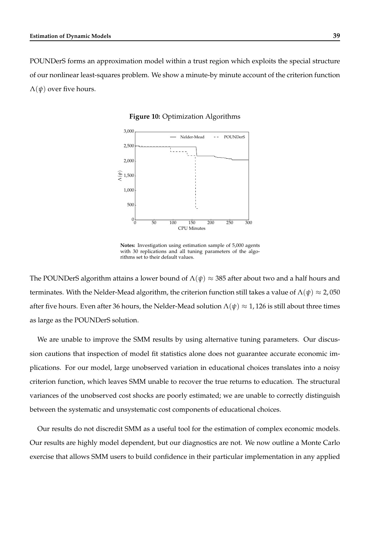<span id="page-40-0"></span>POUNDerS forms an approximation model within a trust region which exploits the special structure of our nonlinear least-squares problem. We show a minute-by minute account of the criterion function  $\Lambda(\psi)$  over five hours.



#### **Figure 10:** Optimization Algorithms

**Notes:** Investigation using estimation sample of 5,000 agents with 30 replications and all tuning parameters of the algorithms set to their default values.

The POUNDerS algorithm attains a lower bound of  $\Lambda(\psi) \approx 385$  after about two and a half hours and terminates. With the Nelder-Mead algorithm, the criterion function still takes a value of  $\Lambda(\psi) \approx 2,050$ after five hours. Even after 36 hours, the Nelder-Mead solution  $\Lambda(\psi) \approx 1$ , 126 is still about three times as large as the POUNDerS solution.

We are unable to improve the SMM results by using alternative tuning parameters. Our discussion cautions that inspection of model fit statistics alone does not guarantee accurate economic implications. For our model, large unobserved variation in educational choices translates into a noisy criterion function, which leaves SMM unable to recover the true returns to education. The structural variances of the unobserved cost shocks are poorly estimated; we are unable to correctly distinguish between the systematic and unsystematic cost components of educational choices.

Our results do not discredit SMM as a useful tool for the estimation of complex economic models. Our results are highly model dependent, but our diagnostics are not. We now outline a Monte Carlo exercise that allows SMM users to build confidence in their particular implementation in any applied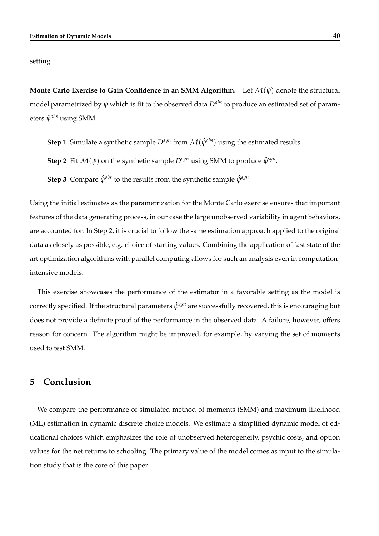setting.

**Monte Carlo Exercise to Gain Confidence in an SMM Algorithm.** Let  $\mathcal{M}(\psi)$  denote the structural model parametrized by *ψ* which is fit to the observed data *Dobs* to produce an estimated set of parameters *ψ*ˆ *obs* using SMM.

**Step 1** Simulate a synthetic sample  $D^{syn}$  from  $\mathcal{M}(\hat{\psi}^{obs})$  using the estimated results.

**Step 2** Fit  $\mathcal{M}(\psi)$  on the synthetic sample  $D^{syn}$  using SMM to produce  $\hat{\psi}^{syn}$ .

**Step 3** Compare  $\hat{\psi}^{obs}$  to the results from the synthetic sample  $\hat{\psi}^{syn}$ .

Using the initial estimates as the parametrization for the Monte Carlo exercise ensures that important features of the data generating process, in our case the large unobserved variability in agent behaviors, are accounted for. In Step 2, it is crucial to follow the same estimation approach applied to the original data as closely as possible, e.g. choice of starting values. Combining the application of fast state of the art optimization algorithms with parallel computing allows for such an analysis even in computationintensive models.

This exercise showcases the performance of the estimator in a favorable setting as the model is correctly specified. If the structural parameters *ψ*ˆ *syn* are successfully recovered, this is encouraging but does not provide a definite proof of the performance in the observed data. A failure, however, offers reason for concern. The algorithm might be improved, for example, by varying the set of moments used to test SMM.

# <span id="page-41-0"></span>**5 Conclusion**

We compare the performance of simulated method of moments (SMM) and maximum likelihood (ML) estimation in dynamic discrete choice models. We estimate a simplified dynamic model of educational choices which emphasizes the role of unobserved heterogeneity, psychic costs, and option values for the net returns to schooling. The primary value of the model comes as input to the simulation study that is the core of this paper.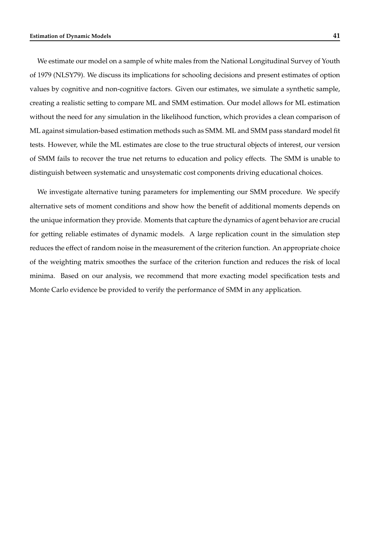We estimate our model on a sample of white males from the National Longitudinal Survey of Youth of 1979 (NLSY79). We discuss its implications for schooling decisions and present estimates of option values by cognitive and non-cognitive factors. Given our estimates, we simulate a synthetic sample, creating a realistic setting to compare ML and SMM estimation. Our model allows for ML estimation without the need for any simulation in the likelihood function, which provides a clean comparison of ML against simulation-based estimation methods such as SMM. ML and SMM pass standard model fit tests. However, while the ML estimates are close to the true structural objects of interest, our version of SMM fails to recover the true net returns to education and policy effects. The SMM is unable to distinguish between systematic and unsystematic cost components driving educational choices.

We investigate alternative tuning parameters for implementing our SMM procedure. We specify alternative sets of moment conditions and show how the benefit of additional moments depends on the unique information they provide. Moments that capture the dynamics of agent behavior are crucial for getting reliable estimates of dynamic models. A large replication count in the simulation step reduces the effect of random noise in the measurement of the criterion function. An appropriate choice of the weighting matrix smoothes the surface of the criterion function and reduces the risk of local minima. Based on our analysis, we recommend that more exacting model specification tests and Monte Carlo evidence be provided to verify the performance of SMM in any application.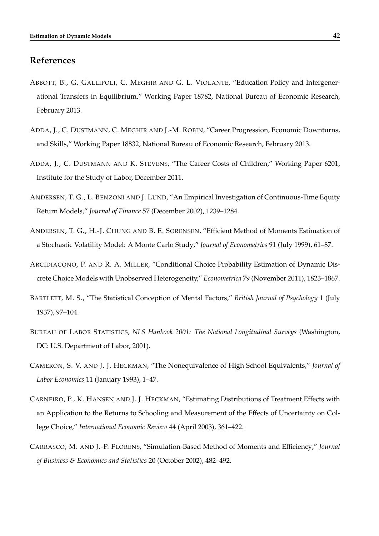### **References**

- <span id="page-43-6"></span>ABBOTT, B., G. GALLIPOLI, C. MEGHIR AND G. L. VIOLANTE, "Education Policy and Intergenerational Transfers in Equilibrium," Working Paper 18782, National Bureau of Economic Research, February 2013.
- <span id="page-43-0"></span>ADDA, J., C. DUSTMANN, C. MEGHIR AND J.-M. ROBIN, "Career Progression, Economic Downturns, and Skills," Working Paper 18832, National Bureau of Economic Research, February 2013.
- <span id="page-43-1"></span>ADDA, J., C. DUSTMANN AND K. STEVENS, "The Career Costs of Children," Working Paper 6201, Institute for the Study of Labor, December 2011.
- <span id="page-43-2"></span>ANDERSEN, T. G., L. BENZONI AND J. LUND, "An Empirical Investigation of Continuous-Time Equity Return Models," *Journal of Finance* 57 (December 2002), 1239–1284.
- <span id="page-43-9"></span>ANDERSEN, T. G., H.-J. CHUNG AND B. E. SORENSEN, "Efficient Method of Moments Estimation of a Stochastic Volatility Model: A Monte Carlo Study," *Journal of Econometrics* 91 (July 1999), 61–87.
- <span id="page-43-3"></span>ARCIDIACONO, P. AND R. A. MILLER, "Conditional Choice Probability Estimation of Dynamic Discrete Choice Models with Unobserved Heterogeneity," *Econometrica* 79 (November 2011), 1823–1867.
- <span id="page-43-8"></span>BARTLETT, M. S., "The Statistical Conception of Mental Factors," *British Journal of Psychology* 1 (July 1937), 97–104.
- <span id="page-43-5"></span>BUREAU OF LABOR STATISTICS, *NLS Hanbook 2001: The National Longitudinal Surveys* (Washington, DC: U.S. Department of Labor, 2001).
- <span id="page-43-7"></span>CAMERON, S. V. AND J. J. HECKMAN, "The Nonequivalence of High School Equivalents," *Journal of Labor Economics* 11 (January 1993), 1–47.
- <span id="page-43-4"></span>CARNEIRO, P., K. HANSEN AND J. J. HECKMAN, "Estimating Distributions of Treatment Effects with an Application to the Returns to Schooling and Measurement of the Effects of Uncertainty on College Choice," *International Economic Review* 44 (April 2003), 361–422.
- <span id="page-43-10"></span>CARRASCO, M. AND J.-P. FLORENS, "Simulation-Based Method of Moments and Efficiency," *Journal of Business & Economics and Statistics* 20 (October 2002), 482–492.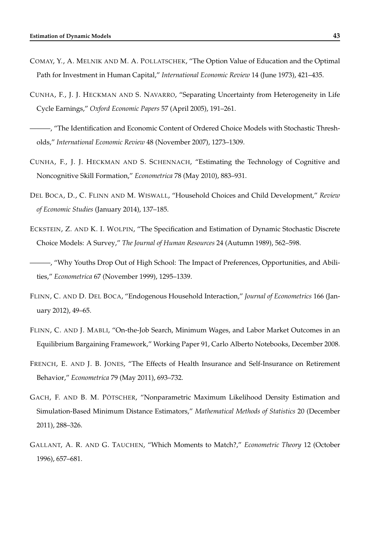- <span id="page-44-8"></span>COMAY, Y., A. MELNIK AND M. A. POLLATSCHEK, "The Option Value of Education and the Optimal Path for Investment in Human Capital," *International Economic Review* 14 (June 1973), 421–435.
- <span id="page-44-6"></span>CUNHA, F., J. J. HECKMAN AND S. NAVARRO, "Separating Uncertainty from Heterogeneity in Life Cycle Earnings," *Oxford Economic Papers* 57 (April 2005), 191–261.
- <span id="page-44-9"></span>———, "The Identification and Economic Content of Ordered Choice Models with Stochastic Thresholds," *International Economic Review* 48 (November 2007), 1273–1309.
- <span id="page-44-7"></span>CUNHA, F., J. J. HECKMAN AND S. SCHENNACH, "Estimating the Technology of Cognitive and Noncognitive Skill Formation," *Econometrica* 78 (May 2010), 883–931.
- <span id="page-44-10"></span>DEL BOCA, D., C. FLINN AND M. WISWALL, "Household Choices and Child Development," *Review of Economic Studies* (January 2014), 137–185.
- <span id="page-44-0"></span>ECKSTEIN, Z. AND K. I. WOLPIN, "The Specification and Estimation of Dynamic Stochastic Discrete Choice Models: A Survey," *The Journal of Human Resources* 24 (Autumn 1989), 562–598.
- <span id="page-44-1"></span>———, "Why Youths Drop Out of High School: The Impact of Preferences, Opportunities, and Abilities," *Econometrica* 67 (November 1999), 1295–1339.
- <span id="page-44-3"></span>FLINN, C. AND D. DEL BOCA, "Endogenous Household Interaction," *Journal of Econometrics* 166 (January 2012), 49–65.
- <span id="page-44-2"></span>FLINN, C. AND J. MABLI, "On-the-Job Search, Minimum Wages, and Labor Market Outcomes in an Equilibrium Bargaining Framework," Working Paper 91, Carlo Alberto Notebooks, December 2008.
- <span id="page-44-11"></span>FRENCH, E. AND J. B. JONES, "The Effects of Health Insurance and Self-Insurance on Retirement Behavior," *Econometrica* 79 (May 2011), 693–732.
- <span id="page-44-5"></span>GACH, F. AND B. M. PÖTSCHER, "Nonparametric Maximum Likelihood Density Estimation and Simulation-Based Minimum Distance Estimators," *Mathematical Methods of Statistics* 20 (December 2011), 288–326.
- <span id="page-44-4"></span>GALLANT, A. R. AND G. TAUCHEN, "Which Moments to Match?," *Econometric Theory* 12 (October 1996), 657–681.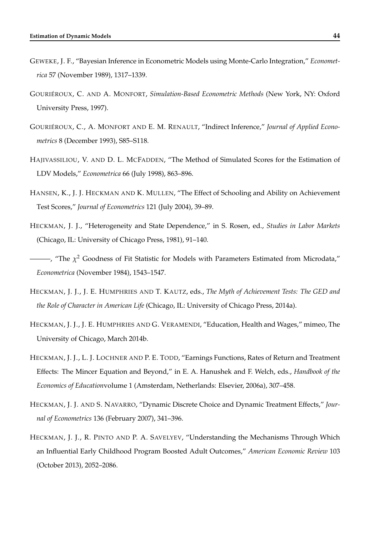- <span id="page-45-0"></span>GEWEKE, J. F., "Bayesian Inference in Econometric Models using Monte-Carlo Integration," *Econometrica* 57 (November 1989), 1317–1339.
- <span id="page-45-2"></span>GOURIÉROUX, C. AND A. MONFORT, *Simulation-Based Econometric Methods* (New York, NY: Oxford University Press, 1997).
- <span id="page-45-3"></span>GOURIÉROUX, C., A. MONFORT AND E. M. RENAULT, "Indirect Inference," *Journal of Applied Econometrics* 8 (December 1993), S85–S118.
- <span id="page-45-1"></span>HAJIVASSILIOU, V. AND D. L. MCFADDEN, "The Method of Simulated Scores for the Estimation of LDV Models," *Econometrica* 66 (July 1998), 863–896.
- <span id="page-45-4"></span>HANSEN, K., J. J. HECKMAN AND K. MULLEN, "The Effect of Schooling and Ability on Achievement Test Scores," *Journal of Econometrics* 121 (July 2004), 39–89.
- <span id="page-45-8"></span>HECKMAN, J. J., "Heterogeneity and State Dependence," in S. Rosen, ed., *Studies in Labor Markets* (Chicago, IL: University of Chicago Press, 1981), 91–140.
- <span id="page-45-9"></span> $\longrightarrow$ , "The  $\chi^2$  Goodness of Fit Statistic for Models with Parameters Estimated from Microdata," *Econometrica* (November 1984), 1543–1547.
- <span id="page-45-10"></span>HECKMAN, J. J., J. E. HUMPHRIES AND T. KAUTZ, eds., *The Myth of Achievement Tests: The GED and the Role of Character in American Life* (Chicago, IL: University of Chicago Press, 2014a).
- <span id="page-45-11"></span>HECKMAN, J. J., J. E. HUMPHRIES AND G. VERAMENDI, "Education, Health and Wages," mimeo, The University of Chicago, March 2014b.
- <span id="page-45-6"></span>HECKMAN, J. J., L. J. LOCHNER AND P. E. TODD, "Earnings Functions, Rates of Return and Treatment Effects: The Mincer Equation and Beyond," in E. A. Hanushek and F. Welch, eds., *Handbook of the Economics of Education*volume 1 (Amsterdam, Netherlands: Elsevier, 2006a), 307–458.
- <span id="page-45-7"></span>HECKMAN, J. J. AND S. NAVARRO, "Dynamic Discrete Choice and Dynamic Treatment Effects," *Journal of Econometrics* 136 (February 2007), 341–396.
- <span id="page-45-5"></span>HECKMAN, J. J., R. PINTO AND P. A. SAVELYEV, "Understanding the Mechanisms Through Which an Influential Early Childhood Program Boosted Adult Outcomes," *American Economic Review* 103 (October 2013), 2052–2086.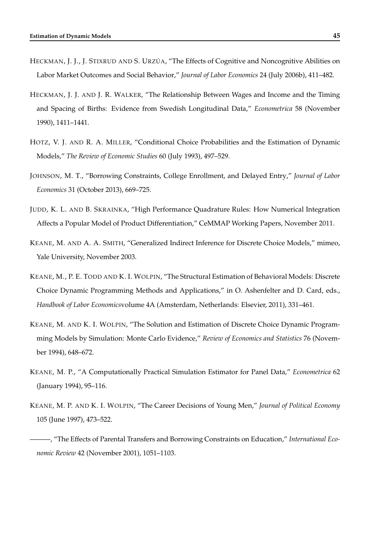- <span id="page-46-7"></span>HECKMAN, J. J., J. STIXRUD AND S. URZÚA, "The Effects of Cognitive and Noncognitive Abilities on Labor Market Outcomes and Social Behavior," *Journal of Labor Economics* 24 (July 2006b), 411–482.
- <span id="page-46-8"></span>HECKMAN, J. J. AND J. R. WALKER, "The Relationship Between Wages and Income and the Timing and Spacing of Births: Evidence from Swedish Longitudinal Data," *Econometrica* 58 (November 1990), 1411–1441.
- <span id="page-46-5"></span>HOTZ, V. J. AND R. A. MILLER, "Conditional Choice Probabilities and the Estimation of Dynamic Models," *The Review of Economic Studies* 60 (July 1993), 497–529.
- <span id="page-46-6"></span>JOHNSON, M. T., "Borrowing Constraints, College Enrollment, and Delayed Entry," *Journal of Labor Economics* 31 (October 2013), 669–725.
- <span id="page-46-9"></span>JUDD, K. L. AND B. SKRAINKA, "High Performance Quadrature Rules: How Numerical Integration Affects a Popular Model of Product Differentiation," CeMMAP Working Papers, November 2011.
- <span id="page-46-10"></span>KEANE, M. AND A. A. SMITH, "Generalized Indirect Inference for Discrete Choice Models," mimeo, Yale University, November 2003.
- <span id="page-46-0"></span>KEANE, M., P. E. TODD AND K. I. WOLPIN, "The Structural Estimation of Behavioral Models: Discrete Choice Dynamic Programming Methods and Applications," in O. Ashenfelter and D. Card, eds., *Handbook of Labor Economics*volume 4A (Amsterdam, Netherlands: Elsevier, 2011), 331–461.
- <span id="page-46-1"></span>KEANE, M. AND K. I. WOLPIN, "The Solution and Estimation of Discrete Choice Dynamic Programming Models by Simulation: Monte Carlo Evidence," *Review of Economics and Statistics* 76 (November 1994), 648–672.
- <span id="page-46-4"></span>KEANE, M. P., "A Computationally Practical Simulation Estimator for Panel Data," *Econometrica* 62 (January 1994), 95–116.
- <span id="page-46-2"></span>KEANE, M. P. AND K. I. WOLPIN, "The Career Decisions of Young Men," *Journal of Political Economy* 105 (June 1997), 473–522.
- <span id="page-46-3"></span>———, "The Effects of Parental Transfers and Borrowing Constraints on Education," *International Economic Review* 42 (November 2001), 1051–1103.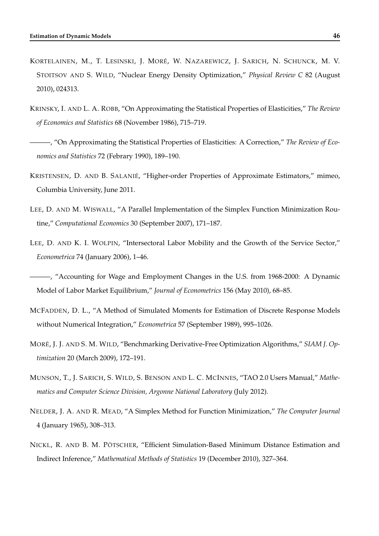- <span id="page-47-8"></span>KORTELAINEN, M., T. LESINSKI, J. MORÉ, W. NAZAREWICZ, J. SARICH, N. SCHUNCK, M. V. STOITSOV AND S. WILD, "Nuclear Energy Density Optimization," *Physical Review C* 82 (August 2010), 024313.
- <span id="page-47-4"></span>KRINSKY, I. AND L. A. ROBB, "On Approximating the Statistical Properties of Elasticities," *The Review of Economics and Statistics* 68 (November 1986), 715–719.
- <span id="page-47-5"></span>———, "On Approximating the Statistical Properties of Elasticities: A Correction," *The Review of Economics and Statistics* 72 (Febrary 1990), 189–190.
- <span id="page-47-9"></span>KRISTENSEN, D. AND B. SALANIÉ, "Higher-order Properties of Approximate Estimators," mimeo, Columbia University, June 2011.
- <span id="page-47-11"></span>LEE, D. AND M. WISWALL, "A Parallel Implementation of the Simplex Function Minimization Routine," *Computational Economics* 30 (September 2007), 171–187.
- <span id="page-47-0"></span>LEE, D. AND K. I. WOLPIN, "Intersectoral Labor Mobility and the Growth of the Service Sector," *Econometrica* 74 (January 2006), 1–46.

- <span id="page-47-2"></span>MCFADDEN, D. L., "A Method of Simulated Moments for Estimation of Discrete Response Models without Numerical Integration," *Econometrica* 57 (September 1989), 995–1026.
- <span id="page-47-6"></span>MORÉ, J. J. AND S. M. WILD, "Benchmarking Derivative-Free Optimization Algorithms," *SIAM J. Optimization* 20 (March 2009), 172–191.
- <span id="page-47-7"></span>MUNSON, T., J. SARICH, S. WILD, S. BENSON AND L. C. MCINNES, "TAO 2.0 Users Manual," *Mathematics and Computer Science Division, Argonne National Laboratory* (July 2012).
- <span id="page-47-10"></span>NELDER, J. A. AND R. MEAD, "A Simplex Method for Function Minimization," *The Computer Journal* 4 (January 1965), 308–313.
- <span id="page-47-3"></span>NICKL, R. AND B. M. PÖTSCHER, "Efficient Simulation-Based Minimum Distance Estimation and Indirect Inference," *Mathematical Methods of Statistics* 19 (December 2010), 327–364.

<span id="page-47-1"></span><sup>———, &</sup>quot;Accounting for Wage and Employment Changes in the U.S. from 1968-2000: A Dynamic Model of Labor Market Equilibrium," *Journal of Econometrics* 156 (May 2010), 68–85.